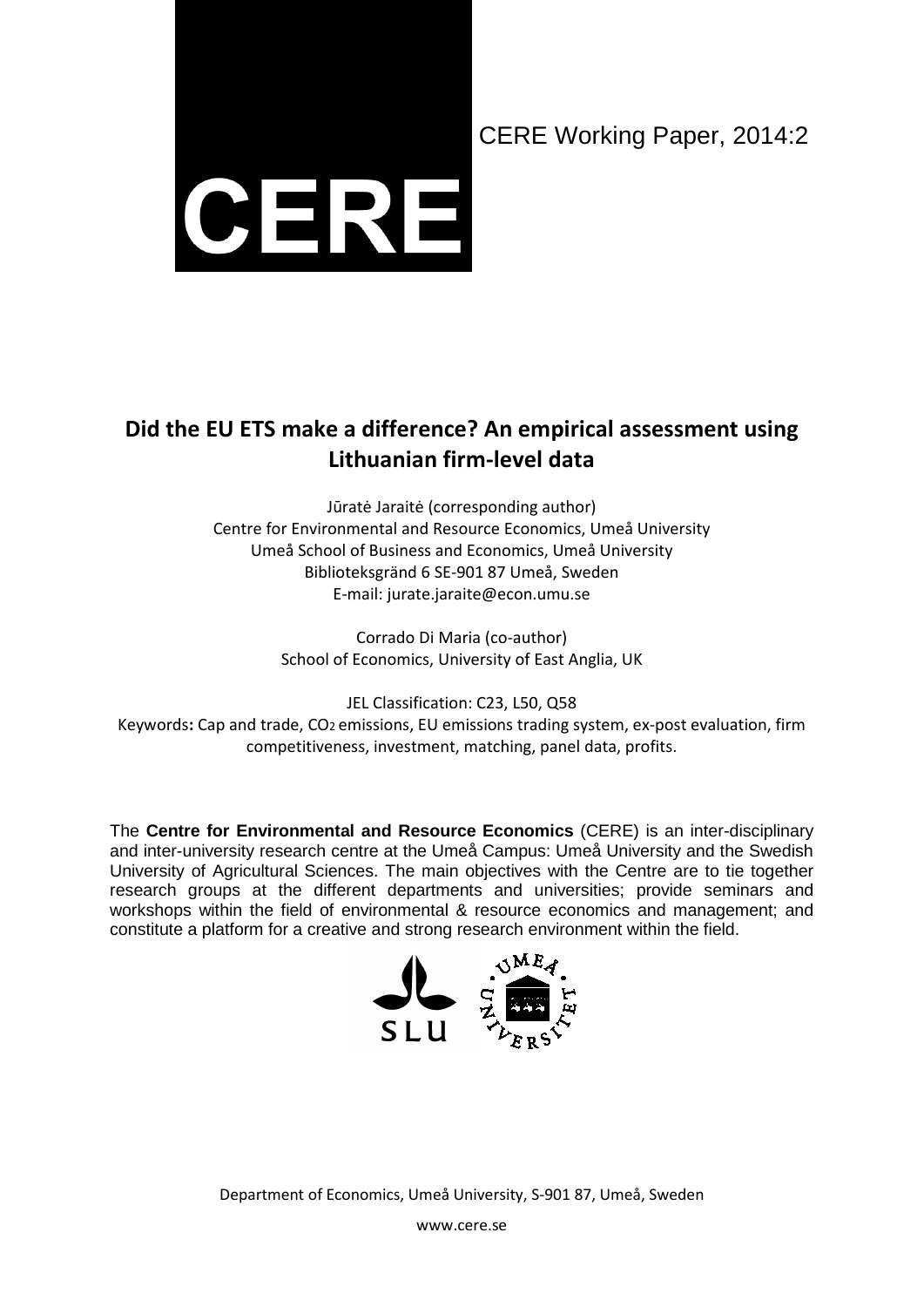# CERE Working Paper, 2014:2



# **Did the EU ETS make a difference? An empirical assessment using Lithuanian firm-level data**

Jūratė Jaraitė (corresponding author) Centre for Environmental and Resource Economics, Umeå University Umeå School of Business and Economics, Umeå University Biblioteksgränd 6 SE-901 87 Umeå, Sweden E-mail: jurate.jaraite@econ.umu.se

> Corrado Di Maria (co-author) School of Economics, University of East Anglia, UK

JEL Classification: C23, L50, Q58 Keywords**:** Cap and trade, CO2 emissions, EU emissions trading system, ex-post evaluation, firm competitiveness, investment, matching, panel data, profits.

The **Centre for Environmental and Resource Economics** (CERE) is an inter-disciplinary and inter-university research centre at the Umeå Campus: Umeå University and the Swedish University of Agricultural Sciences. The main objectives with the Centre are to tie together research groups at the different departments and universities; provide seminars and workshops within the field of environmental & resource economics and management; and constitute a platform for a creative and strong research environment within the field.



Department of Economics, Umeå University, S-901 87, Umeå, Sweden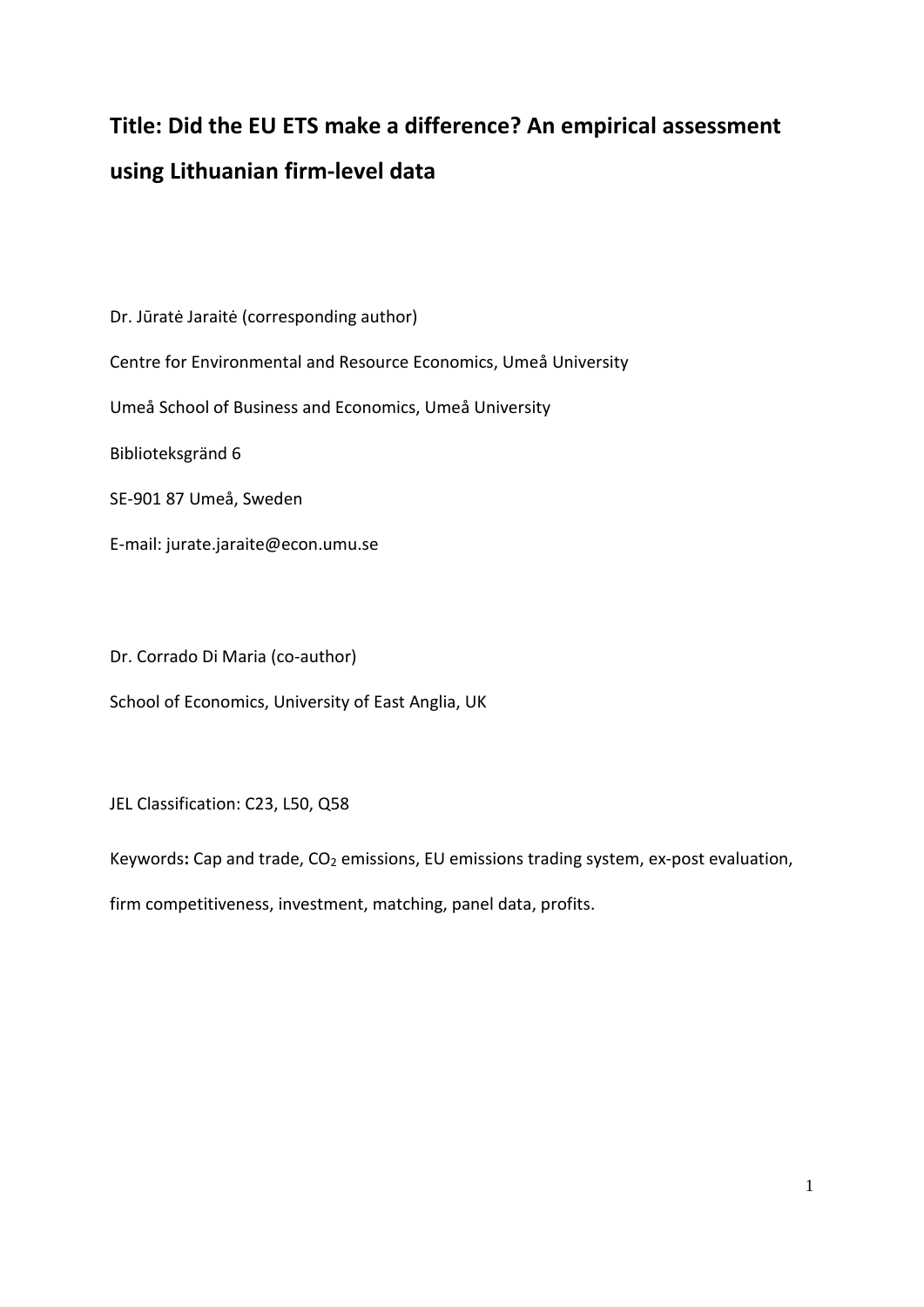# **Title: Did the EU ETS make a difference? An empirical assessment using Lithuanian firm-level data**

Dr. Jūratė Jaraitė (corresponding author) Centre for Environmental and Resource Economics, Umeå University Umeå School of Business and Economics, Umeå University Biblioteksgränd 6 SE-901 87 Umeå, Sweden E-mail: jurate.jaraite@econ.umu.se

Dr. Corrado Di Maria (co-author)

School of Economics, University of East Anglia, UK

JEL Classification: C23, L50, Q58

Keywords: Cap and trade, CO<sub>2</sub> emissions, EU emissions trading system, ex-post evaluation,

firm competitiveness, investment, matching, panel data, profits.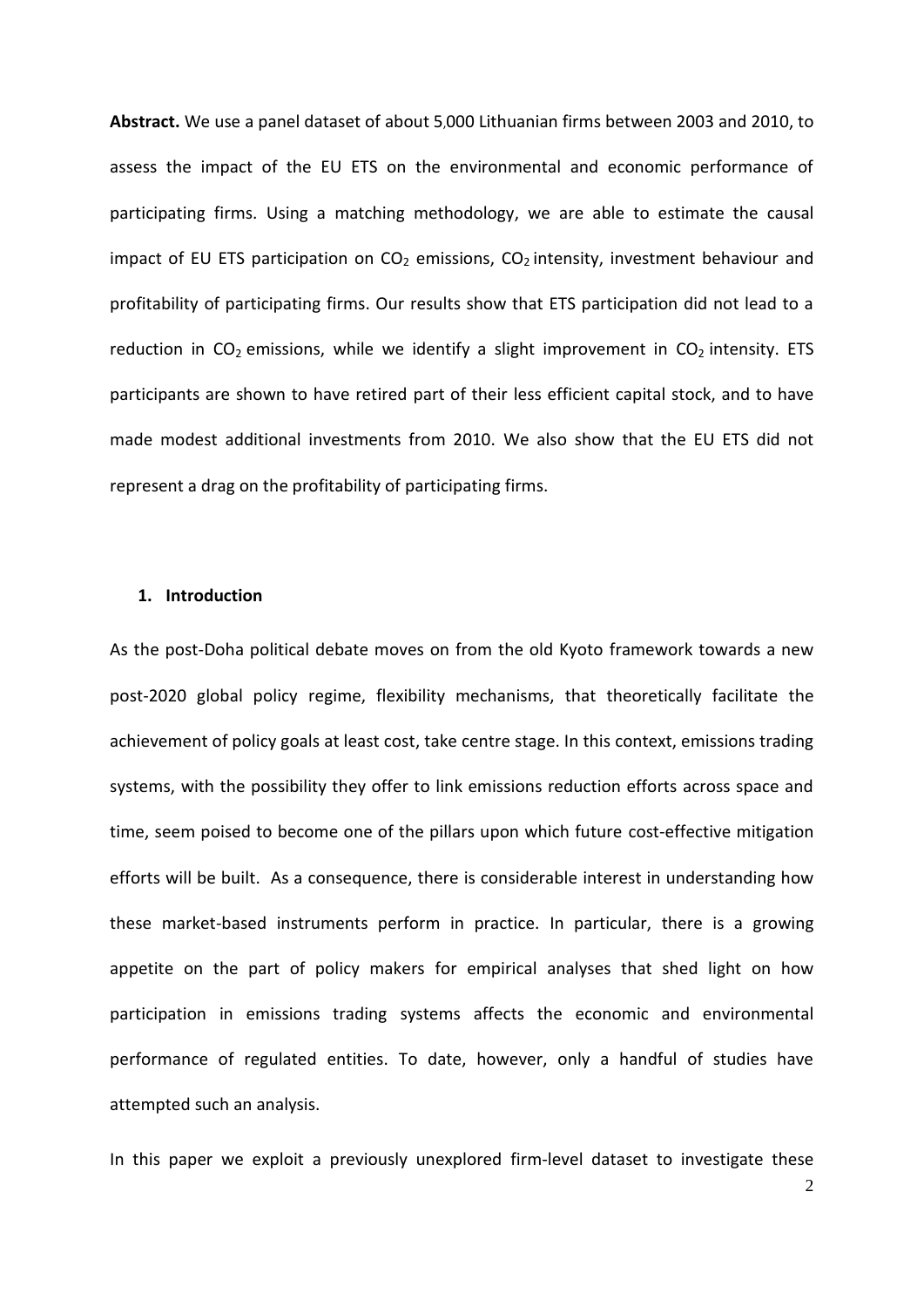**Abstract.** We use a panel dataset of about 5,000 Lithuanian firms between 2003 and 2010, to assess the impact of the EU ETS on the environmental and economic performance of participating firms. Using a matching methodology, we are able to estimate the causal impact of EU ETS participation on  $CO<sub>2</sub>$  emissions,  $CO<sub>2</sub>$  intensity, investment behaviour and profitability of participating firms. Our results show that ETS participation did not lead to a reduction in  $CO<sub>2</sub>$  emissions, while we identify a slight improvement in  $CO<sub>2</sub>$  intensity. ETS participants are shown to have retired part of their less efficient capital stock, and to have made modest additional investments from 2010. We also show that the EU ETS did not represent a drag on the profitability of participating firms.

#### **1. Introduction**

As the post-Doha political debate moves on from the old Kyoto framework towards a new post-2020 global policy regime, flexibility mechanisms, that theoretically facilitate the achievement of policy goals at least cost, take centre stage. In this context, emissions trading systems, with the possibility they offer to link emissions reduction efforts across space and time, seem poised to become one of the pillars upon which future cost-effective mitigation efforts will be built. As a consequence, there is considerable interest in understanding how these market-based instruments perform in practice. In particular, there is a growing appetite on the part of policy makers for empirical analyses that shed light on how participation in emissions trading systems affects the economic and environmental performance of regulated entities. To date, however, only a handful of studies have attempted such an analysis.

In this paper we exploit a previously unexplored firm-level dataset to investigate these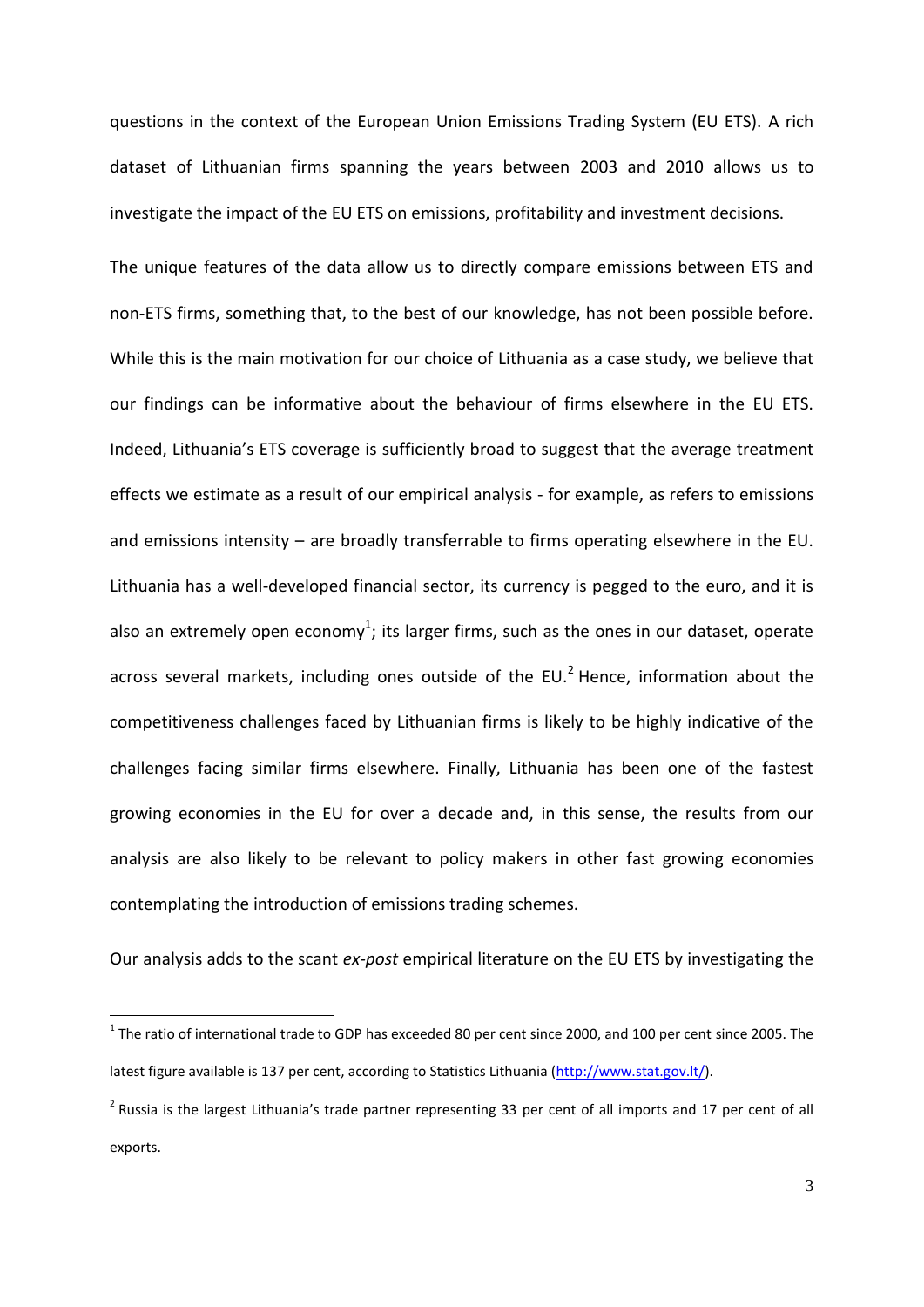questions in the context of the European Union Emissions Trading System (EU ETS). A rich dataset of Lithuanian firms spanning the years between 2003 and 2010 allows us to investigate the impact of the EU ETS on emissions, profitability and investment decisions.

The unique features of the data allow us to directly compare emissions between ETS and non-ETS firms, something that, to the best of our knowledge, has not been possible before. While this is the main motivation for our choice of Lithuania as a case study, we believe that our findings can be informative about the behaviour of firms elsewhere in the EU ETS. Indeed, Lithuania's ETS coverage is sufficiently broad to suggest that the average treatment effects we estimate as a result of our empirical analysis - for example, as refers to emissions and emissions intensity – are broadly transferrable to firms operating elsewhere in the EU. Lithuania has a well-developed financial sector, its currency is pegged to the euro, and it is also an extremely open economy<sup>1</sup>; its larger firms, such as the ones in our dataset, operate across several markets, including ones outside of the EU. $<sup>2</sup>$  Hence, information about the</sup> competitiveness challenges faced by Lithuanian firms is likely to be highly indicative of the challenges facing similar firms elsewhere. Finally, Lithuania has been one of the fastest growing economies in the EU for over a decade and, in this sense, the results from our analysis are also likely to be relevant to policy makers in other fast growing economies contemplating the introduction of emissions trading schemes.

Our analysis adds to the scant *ex-post* empirical literature on the EU ETS by investigating the

 $\overline{\phantom{a}}$ 

 $^1$  The ratio of international trade to GDP has exceeded 80 per cent since 2000, and 100 per cent since 2005. The latest figure available is 137 per cent, according to Statistics Lithuania [\(http://www.stat.gov.lt/\)](http://www.stat.gov.lt/).

 $^2$  Russia is the largest Lithuania's trade partner representing 33 per cent of all imports and 17 per cent of all exports.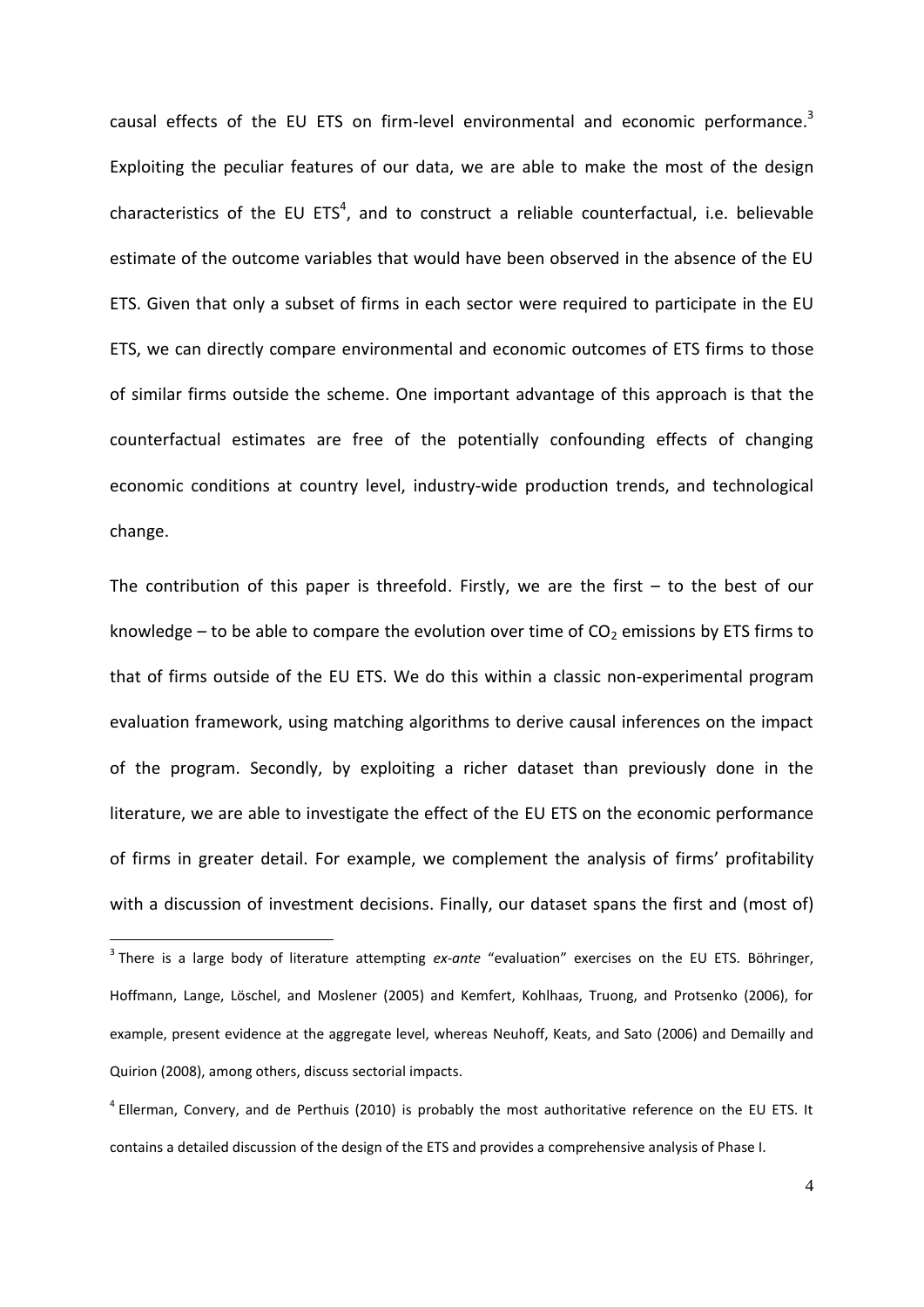causal effects of the EU ETS on firm-level environmental and economic performance.<sup>3</sup> Exploiting the peculiar features of our data, we are able to make the most of the design characteristics of the EU ETS<sup>4</sup>, and to construct a reliable counterfactual, i.e. believable estimate of the outcome variables that would have been observed in the absence of the EU ETS. Given that only a subset of firms in each sector were required to participate in the EU ETS, we can directly compare environmental and economic outcomes of ETS firms to those of similar firms outside the scheme. One important advantage of this approach is that the counterfactual estimates are free of the potentially confounding effects of changing economic conditions at country level, industry-wide production trends, and technological change.

The contribution of this paper is threefold. Firstly, we are the first  $-$  to the best of our knowledge – to be able to compare the evolution over time of  $CO<sub>2</sub>$  emissions by ETS firms to that of firms outside of the EU ETS. We do this within a classic non-experimental program evaluation framework, using matching algorithms to derive causal inferences on the impact of the program. Secondly, by exploiting a richer dataset than previously done in the literature, we are able to investigate the effect of the EU ETS on the economic performance of firms in greater detail. For example, we complement the analysis of firms' profitability with a discussion of investment decisions. Finally, our dataset spans the first and (most of)

1

<sup>3</sup> There is a large body of literature attempting *ex-ante* "evaluation" exercises on the EU ETS. Böhringer, Hoffmann, Lange, Löschel, and Moslener (2005) and Kemfert, Kohlhaas, Truong, and Protsenko (2006), for example, present evidence at the aggregate level, whereas Neuhoff, Keats, and Sato (2006) and Demailly and Quirion (2008), among others, discuss sectorial impacts.

<sup>&</sup>lt;sup>4</sup> [Ellerman, Convery, and de Perthuis \(2010\)](#page-36-0) is probably the most authoritative reference on the EU ETS. It contains a detailed discussion of the design of the ETS and provides a comprehensive analysis of Phase I.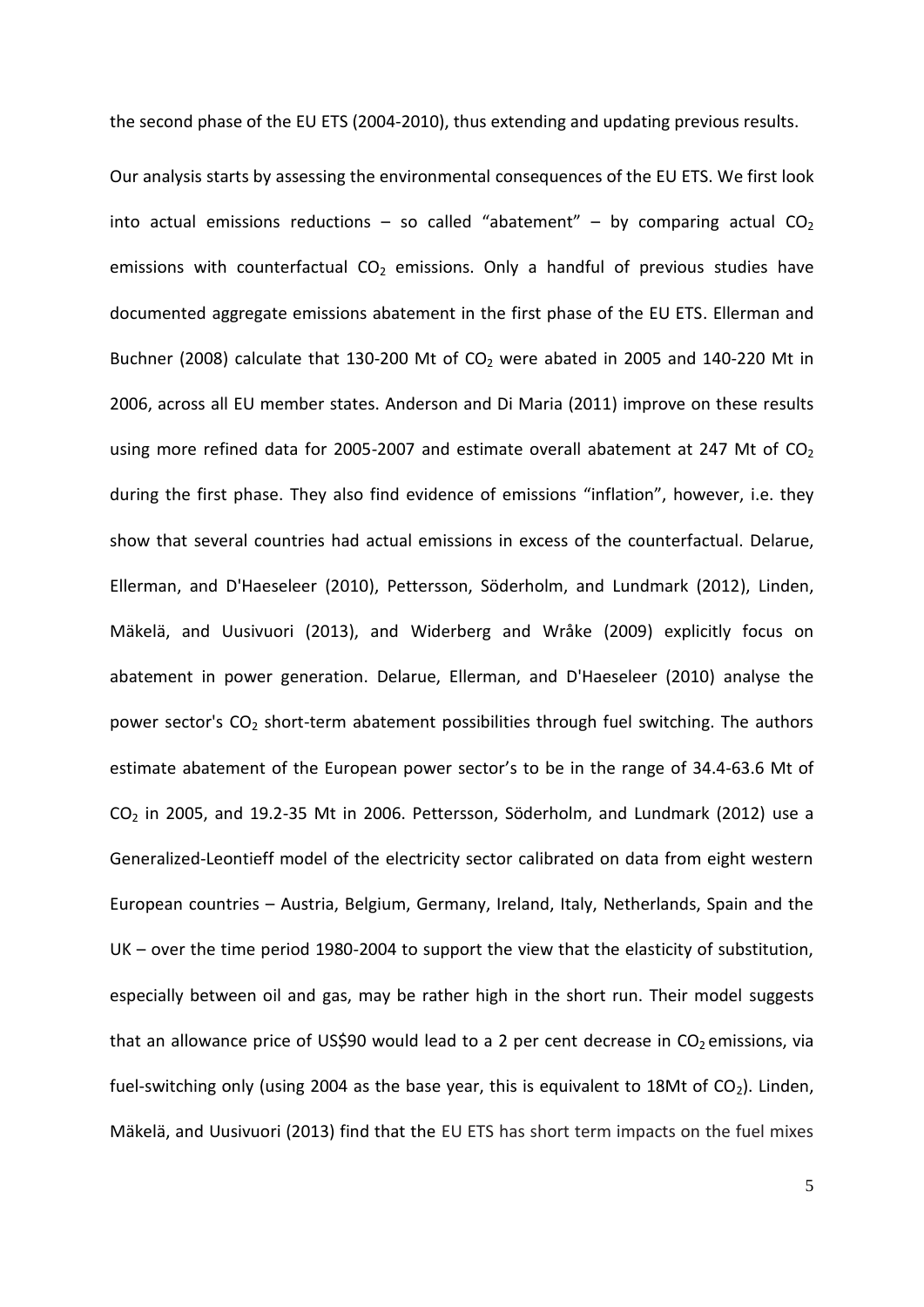the second phase of the EU ETS (2004-2010), thus extending and updating previous results.

Our analysis starts by assessing the environmental consequences of the EU ETS. We first look into actual emissions reductions – so called "abatement" – by comparing actual  $CO<sub>2</sub>$ emissions with counterfactual  $CO<sub>2</sub>$  emissions. Only a handful of previous studies have documented aggregate emissions abatement in the first phase of the EU ETS. [Ellerman and](#page-36-1)  [Buchner \(2008\)](#page-36-1) calculate that 130-200 Mt of  $CO<sub>2</sub>$  were abated in 2005 and 140-220 Mt in 2006, across all EU member states. [Anderson and Di Maria \(2011\)](#page-36-2) improve on these results using more refined data for 2005-2007 and estimate overall abatement at 247 Mt of  $CO<sub>2</sub>$ during the first phase. They also find evidence of emissions "inflation", however, i.e. they show that several countries had actual emissions in excess of the counterfactual. [Delarue,](#page-36-3)  [Ellerman, and D'Haeseleer \(2010\)](#page-36-3), Pettersson, Söderholm, and Lundmark (2012), Linden, Mäkelä, and Uusivuori (2013), and [Widerberg and Wråke \(2009\)](#page-38-0) explicitly focus on abatement in power generation. [Delarue, Ellerman, and D'Haeseleer \(2010\)](#page-36-3) analyse the power sector's  $CO<sub>2</sub>$  short-term abatement possibilities through fuel switching. The authors estimate abatement of the European power sector's to be in the range of 34.4-63.6 Mt of CO<sup>2</sup> in 2005, and 19.2-35 Mt in 2006. Pettersson, Söderholm, and Lundmark (2012) use a Generalized-Leontieff model of the electricity sector calibrated on data from eight western European countries – Austria, Belgium, Germany, Ireland, Italy, Netherlands, Spain and the UK – over the time period 1980-2004 to support the view that the elasticity of substitution, especially between oil and gas, may be rather high in the short run. Their model suggests that an allowance price of US\$90 would lead to a 2 per cent decrease in  $CO<sub>2</sub>$  emissions, via fuel-switching only (using 2004 as the base year, this is equivalent to 18Mt of  $CO<sub>2</sub>$ ). Linden, Mäkelä, and Uusivuori (2013) find that the EU ETS has short term impacts on the fuel mixes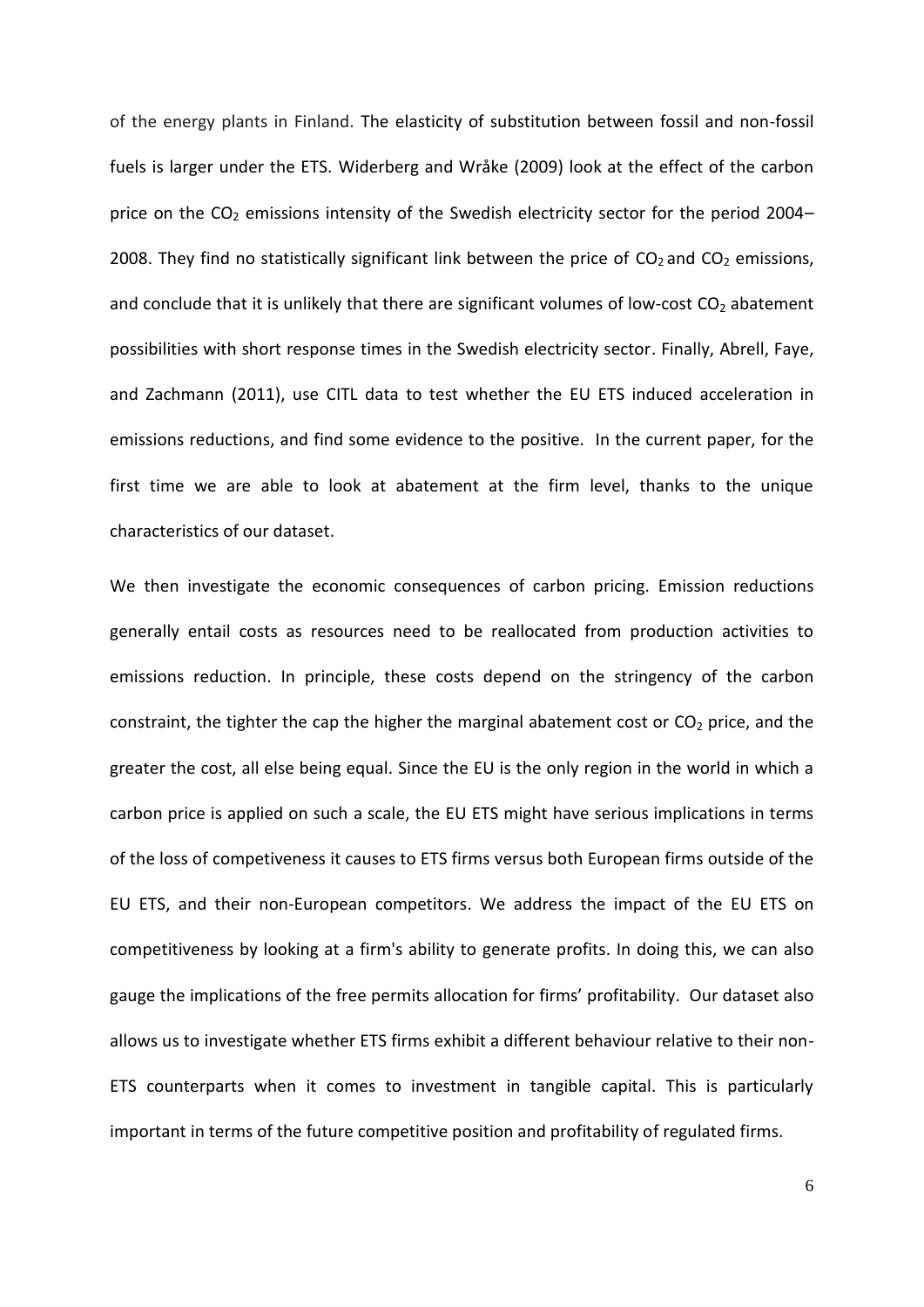of the energy plants in Finland. The elasticity of substitution between fossil and non-fossil fuels is larger under the ETS. [Widerberg and Wråke \(2009\)](#page-38-0) look at the effect of the carbon price on the  $CO<sub>2</sub>$  emissions intensity of the Swedish electricity sector for the period 2004– 2008. They find no statistically significant link between the price of  $CO<sub>2</sub>$  and  $CO<sub>2</sub>$  emissions, and conclude that it is unlikely that there are significant volumes of low-cost  $CO<sub>2</sub>$  abatement possibilities with short response times in the Swedish electricity sector. Finally, [Abrell, Faye,](#page-36-4)  [and Zachmann \(2011\)](#page-36-4), use CITL data to test whether the EU ETS induced acceleration in emissions reductions, and find some evidence to the positive. In the current paper, for the first time we are able to look at abatement at the firm level, thanks to the unique characteristics of our dataset.

We then investigate the economic consequences of carbon pricing. Emission reductions generally entail costs as resources need to be reallocated from production activities to emissions reduction. In principle, these costs depend on the stringency of the carbon constraint, the tighter the cap the higher the marginal abatement cost or  $CO<sub>2</sub>$  price, and the greater the cost, all else being equal. Since the EU is the only region in the world in which a carbon price is applied on such a scale, the EU ETS might have serious implications in terms of the loss of competiveness it causes to ETS firms versus both European firms outside of the EU ETS, and their non-European competitors. We address the impact of the EU ETS on competitiveness by looking at a firm's ability to generate profits. In doing this, we can also gauge the implications of the free permits allocation for firms' profitability. Our dataset also allows us to investigate whether ETS firms exhibit a different behaviour relative to their non-ETS counterparts when it comes to investment in tangible capital. This is particularly important in terms of the future competitive position and profitability of regulated firms.

6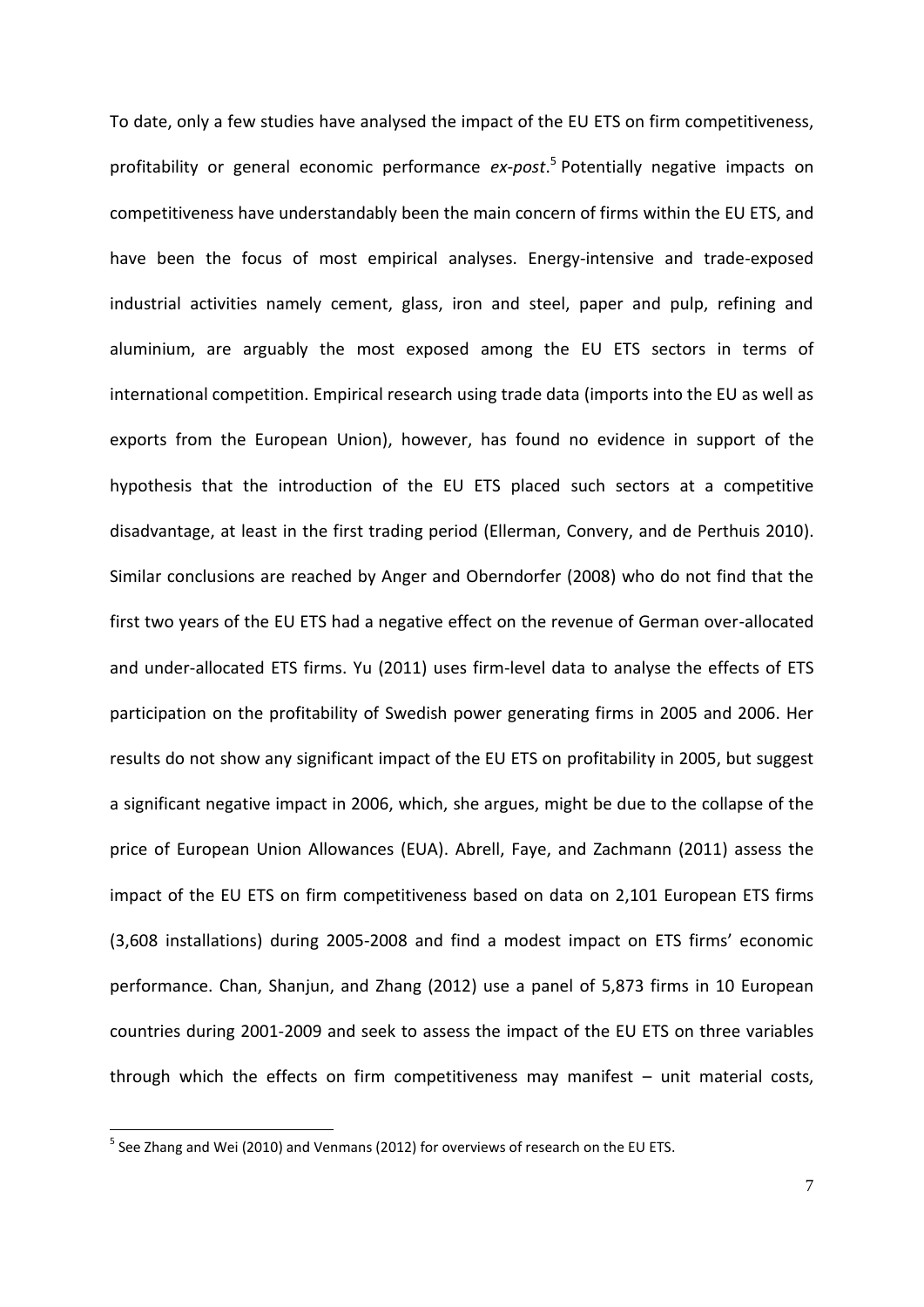To date, only a few studies have analysed the impact of the EU ETS on firm competitiveness, profitability or general economic performance *ex-post*. 5 Potentially negative impacts on competitiveness have understandably been the main concern of firms within the EU ETS, and have been the focus of most empirical analyses. Energy-intensive and trade-exposed industrial activities namely cement, glass, iron and steel, paper and pulp, refining and aluminium, are arguably the most exposed among the EU ETS sectors in terms of international competition. Empirical research using trade data (imports into the EU as well as exports from the European Union), however, has found no evidence in support of the hypothesis that the introduction of the EU ETS placed such sectors at a competitive disadvantage, at least in the first trading period [\(Ellerman, Convery, and de Perthuis 2010\)](#page-36-0). Similar conclusions are reached by [Anger and Oberndorfer \(2008\)](#page-36-5) who do not find that the first two years of the EU ETS had a negative effect on the revenue of German over-allocated and under-allocated ETS firms. [Yu \(2011\)](#page-38-1) uses firm-level data to analyse the effects of ETS participation on the profitability of Swedish power generating firms in 2005 and 2006. Her results do not show any significant impact of the EU ETS on profitability in 2005, but suggest a significant negative impact in 2006, which, she argues, might be due to the collapse of the price of European Union Allowances (EUA). [Abrell, Faye, and Zachmann \(2011\)](#page-36-4) assess the impact of the EU ETS on firm competitiveness based on data on 2,101 European ETS firms (3,608 installations) during 2005-2008 and find a modest impact on ETS firms' economic performance. [Chan, Shanjun, and Zhang \(2012\)](#page-36-6) use a panel of 5,873 firms in 10 European countries during 2001-2009 and seek to assess the impact of the EU ETS on three variables through which the effects on firm competitiveness may manifest – unit material costs,

**.** 

 $<sup>5</sup>$  See [Zhang and Wei \(2010\)](#page-38-2) and [Venmans \(2012\)](#page-38-3) for overviews of research on the EU ETS.</sup>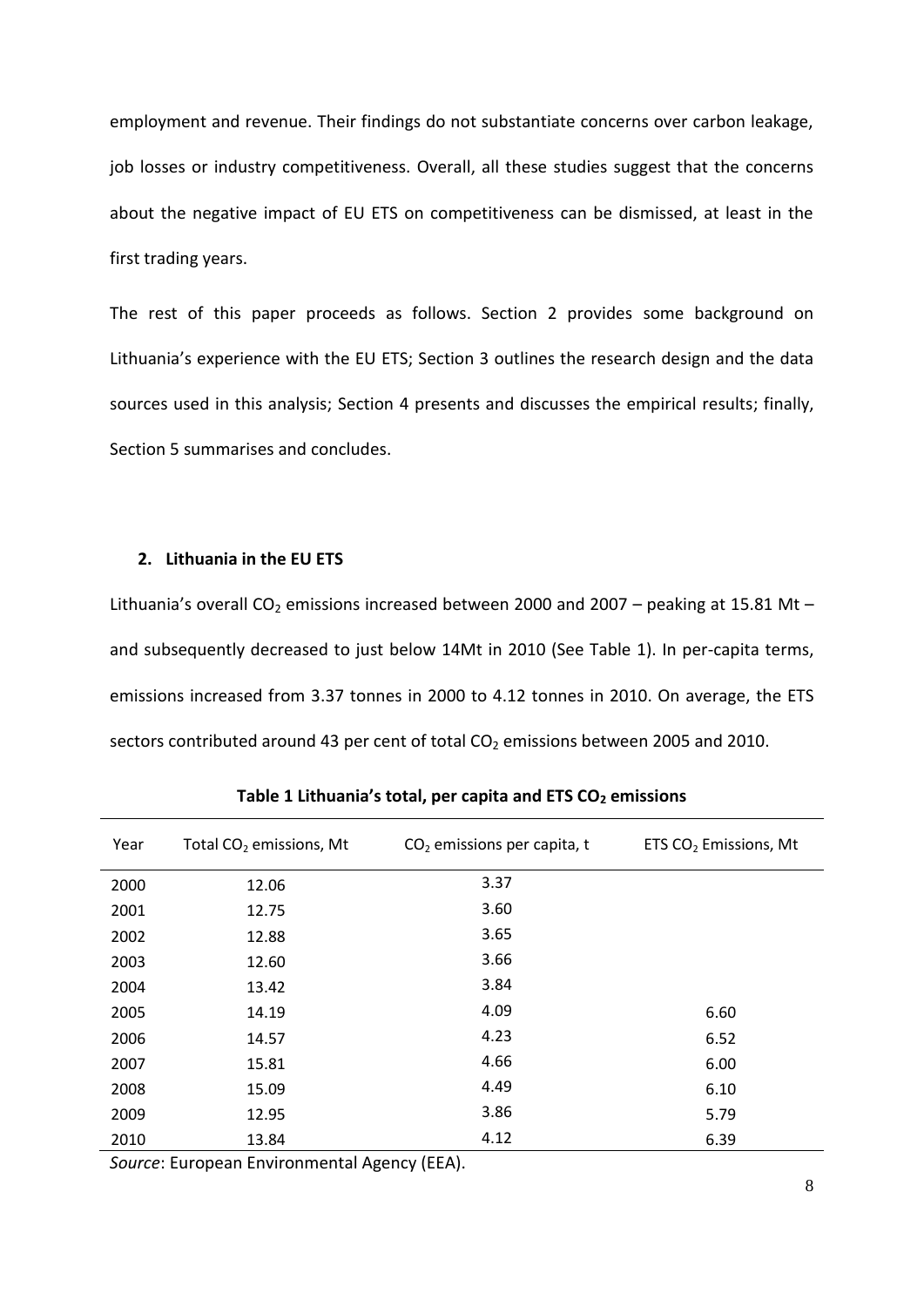employment and revenue. Their findings do not substantiate concerns over carbon leakage, job losses or industry competitiveness. Overall, all these studies suggest that the concerns about the negative impact of EU ETS on competitiveness can be dismissed, at least in the first trading years.

The rest of this paper proceeds as follows. Section 2 provides some background on Lithuania's experience with the EU ETS; Section 3 outlines the research design and the data sources used in this analysis; Section 4 presents and discusses the empirical results; finally, Section 5 summarises and concludes.

# **2. Lithuania in the EU ETS**

Lithuania's overall CO<sub>2</sub> emissions increased between 2000 and 2007 – peaking at 15.81 Mt – and subsequently decreased to just below 14Mt in 2010 (See [Table 1\)](#page-8-0). In per-capita terms, emissions increased from 3.37 tonnes in 2000 to 4.12 tonnes in 2010. On average, the ETS sectors contributed around 43 per cent of total  $CO<sub>2</sub>$  emissions between 2005 and 2010.

<span id="page-8-0"></span>

| Year | Total CO <sub>2</sub> emissions, Mt | $CO2$ emissions per capita, t | ETS CO <sub>2</sub> Emissions, Mt |
|------|-------------------------------------|-------------------------------|-----------------------------------|
| 2000 | 12.06                               | 3.37                          |                                   |
| 2001 | 12.75                               | 3.60                          |                                   |
| 2002 | 12.88                               | 3.65                          |                                   |
| 2003 | 12.60                               | 3.66                          |                                   |
| 2004 | 13.42                               | 3.84                          |                                   |
| 2005 | 14.19                               | 4.09                          | 6.60                              |
| 2006 | 14.57                               | 4.23                          | 6.52                              |
| 2007 | 15.81                               | 4.66                          | 6.00                              |
| 2008 | 15.09                               | 4.49                          | 6.10                              |
| 2009 | 12.95                               | 3.86                          | 5.79                              |
| 2010 | 13.84                               | 4.12                          | 6.39                              |

**Table 1 Lithuania's total, per capita and ETS CO<sup>2</sup> emissions**

*Source*: European Environmental Agency (EEA).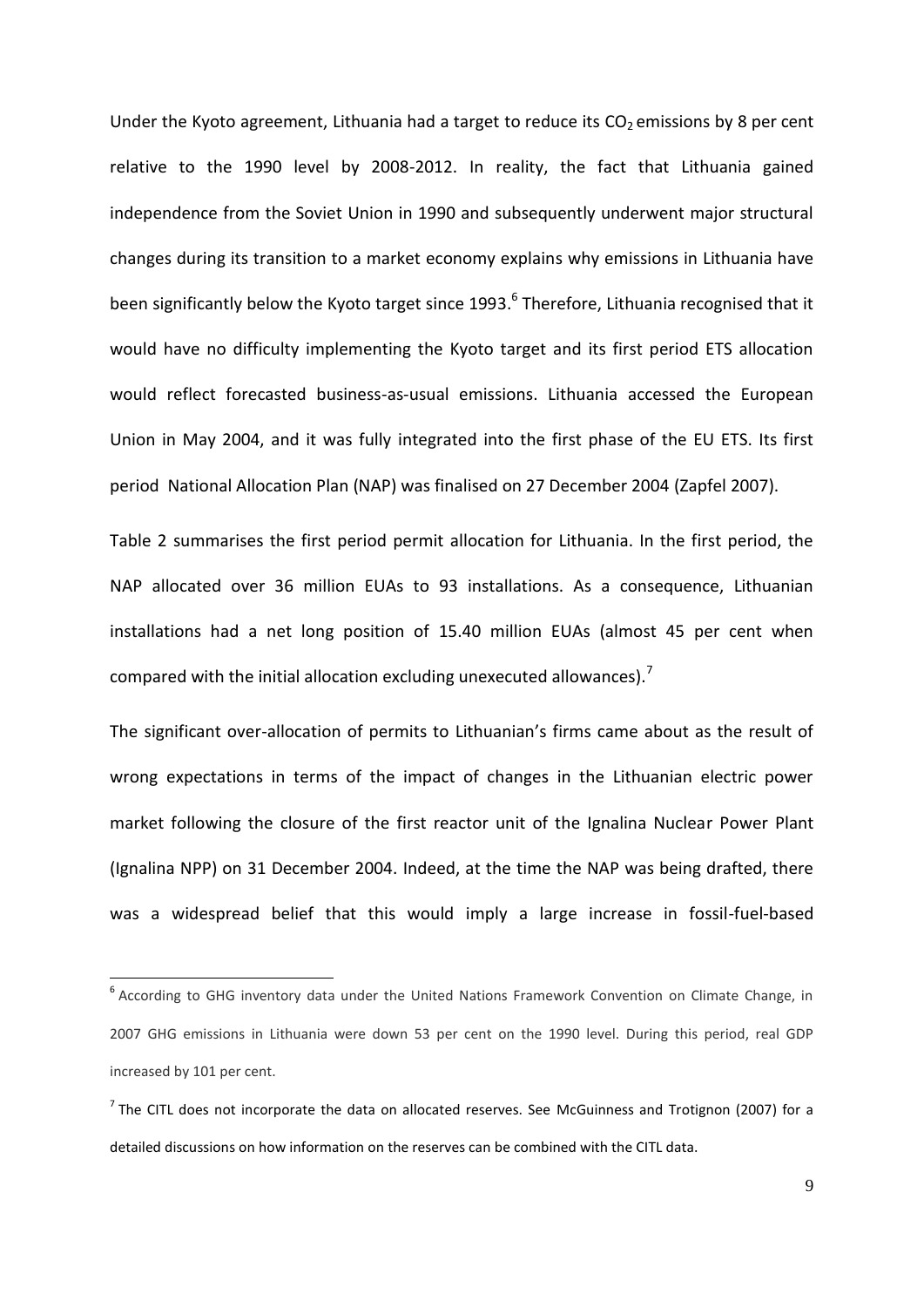Under the Kyoto agreement, Lithuania had a target to reduce its  $CO<sub>2</sub>$  emissions by 8 per cent relative to the 1990 level by 2008-2012. In reality, the fact that Lithuania gained independence from the Soviet Union in 1990 and subsequently underwent major structural changes during its transition to a market economy explains why emissions in Lithuania have been significantly below the Kyoto target since 1993.<sup>6</sup> Therefore, Lithuania recognised that it would have no difficulty implementing the Kyoto target and its first period ETS allocation would reflect forecasted business-as-usual emissions. Lithuania accessed the European Union in May 2004, and it was fully integrated into the first phase of the EU ETS. Its first period National Allocation Plan (NAP) was finalised on 27 December 2004 [\(Zapfel 2007\)](#page-38-4).

[Table 2](#page-10-0) summarises the first period permit allocation for Lithuania. In the first period, the NAP allocated over 36 million EUAs to 93 installations. As a consequence, Lithuanian installations had a net long position of 15.40 million EUAs (almost 45 per cent when compared with the initial allocation excluding unexecuted allowances).<sup>7</sup>

The significant over-allocation of permits to Lithuanian's firms came about as the result of wrong expectations in terms of the impact of changes in the Lithuanian electric power market following the closure of the first reactor unit of the Ignalina Nuclear Power Plant (Ignalina NPP) on 31 December 2004. Indeed, at the time the NAP was being drafted, there was a widespread belief that this would imply a large increase in fossil-fuel-based

 $\overline{\phantom{a}}$ 

<sup>&</sup>lt;sup>6</sup> According to GHG inventory data under the United Nations Framework Convention on Climate Change, in 2007 GHG emissions in Lithuania were down 53 per cent on the 1990 level. During this period, real GDP increased by 101 per cent.

 $^7$  The CITL does not incorporate the data on allocated reserves. See [McGuinness and Trotignon \(2007\)](#page-37-0) for a detailed discussions on how information on the reserves can be combined with the CITL data.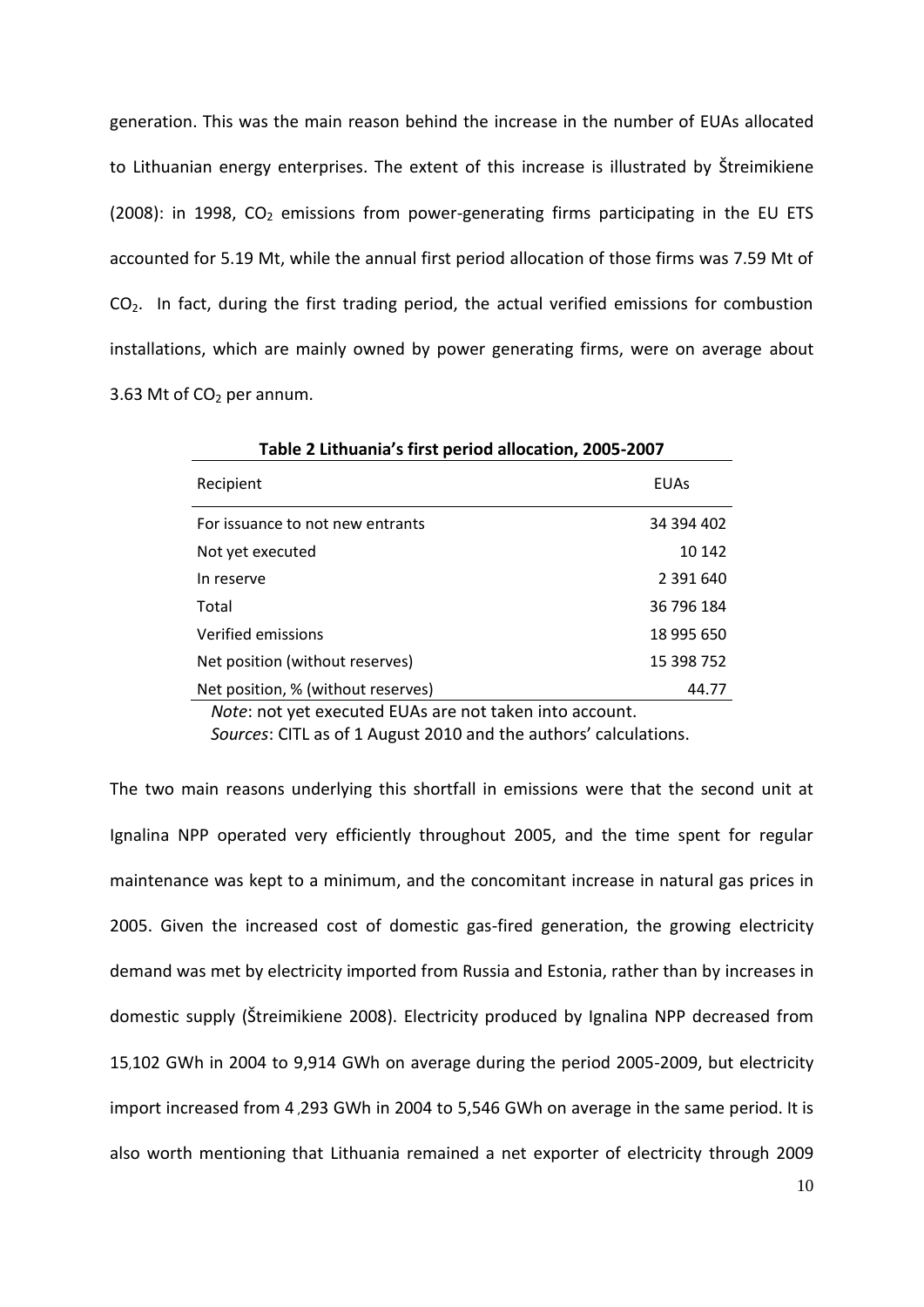generation. This was the main reason behind the increase in the number of EUAs allocated to Lithuanian energy enterprises. The extent of this increase is illustrated by [Štreimikiene](#page-38-5)  [\(2008\)](#page-38-5): in 1998,  $CO<sub>2</sub>$  emissions from power-generating firms participating in the EU ETS accounted for 5.19 Mt, while the annual first period allocation of those firms was 7.59 Mt of  $CO<sub>2</sub>$ . In fact, during the first trading period, the actual verified emissions for combustion installations, which are mainly owned by power generating firms, were on average about 3.63 Mt of  $CO<sub>2</sub>$  per annum.

<span id="page-10-0"></span>

| Table 2 Lithuania's first period allocation, 2005-2007 |             |  |  |  |
|--------------------------------------------------------|-------------|--|--|--|
| Recipient                                              | <b>EUAs</b> |  |  |  |
| For issuance to not new entrants                       | 34 394 402  |  |  |  |
| Not yet executed                                       | 10 142      |  |  |  |
| In reserve                                             | 2 391 640   |  |  |  |
| Total                                                  | 36 796 184  |  |  |  |
| Verified emissions                                     | 18 995 650  |  |  |  |
| Net position (without reserves)                        | 15 398 752  |  |  |  |
| Net position, % (without reserves)                     | 44.77       |  |  |  |

*Note*: not yet executed EUAs are not taken into account.

*Sources*: CITL as of 1 August 2010 and the authors' calculations.

The two main reasons underlying this shortfall in emissions were that the second unit at Ignalina NPP operated very efficiently throughout 2005, and the time spent for regular maintenance was kept to a minimum, and the concomitant increase in natural gas prices in 2005. Given the increased cost of domestic gas-fired generation, the growing electricity demand was met by electricity imported from Russia and Estonia, rather than by increases in domestic supply ([Štreimikiene 2008](#page-38-5)). Electricity produced by Ignalina NPP decreased from 15,102 GWh in 2004 to 9,914 GWh on average during the period 2005-2009, but electricity import increased from 4 ,293 GWh in 2004 to 5,546 GWh on average in the same period. It is also worth mentioning that Lithuania remained a net exporter of electricity through 2009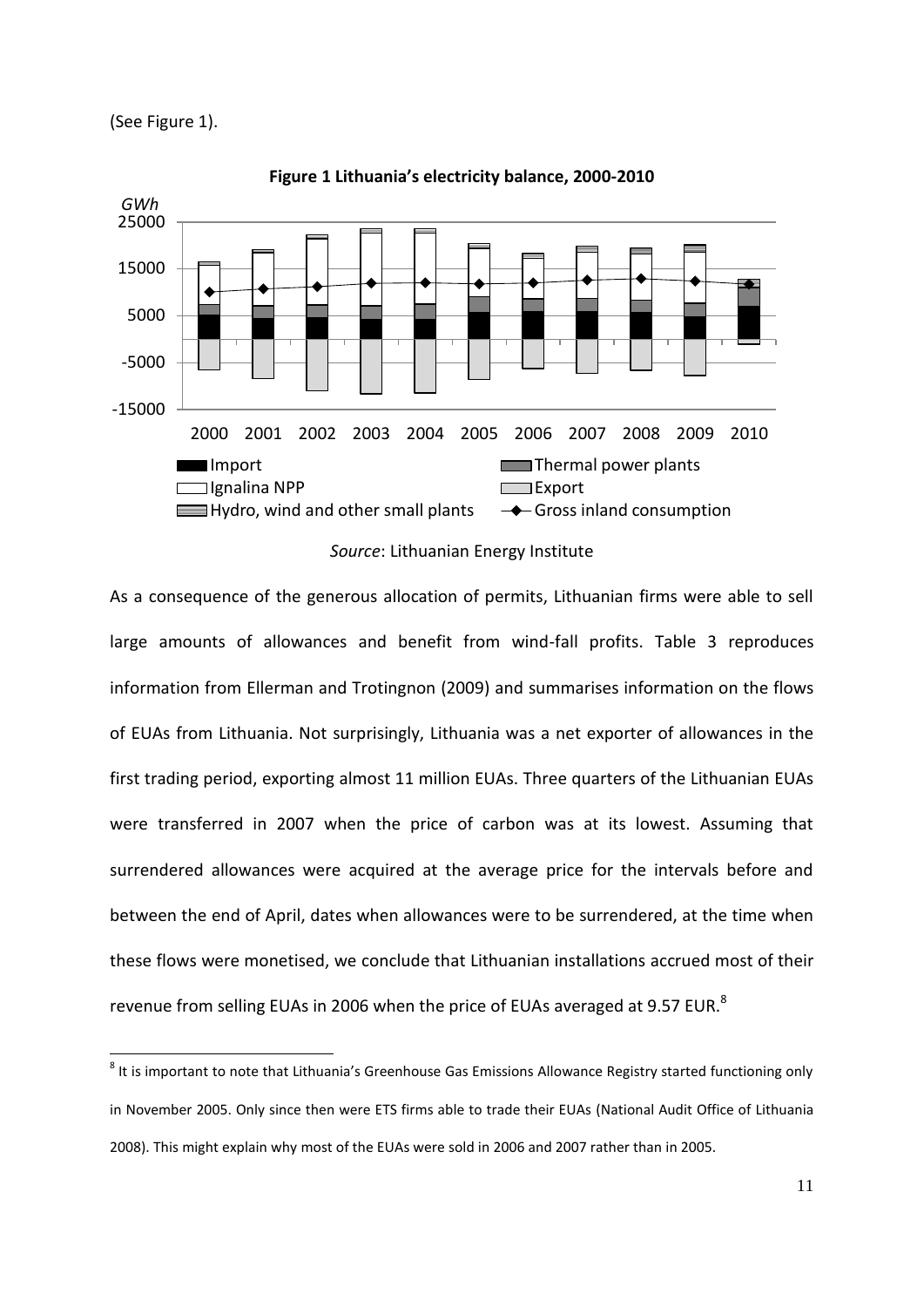(See [Figure 1\)](#page-11-0).

 $\overline{\phantom{a}}$ 

<span id="page-11-0"></span>

**Figure 1 Lithuania's electricity balance, 2000-2010**

# *Source*: Lithuanian Energy Institute

As a consequence of the generous allocation of permits, Lithuanian firms were able to sell large amounts of allowances and benefit from wind-fall profits. [Table 3](#page-12-0) reproduces information from [Ellerman and Trotingnon \(2009\)](#page-36-7) and summarises information on the flows of EUAs from Lithuania. Not surprisingly, Lithuania was a net exporter of allowances in the first trading period, exporting almost 11 million EUAs. Three quarters of the Lithuanian EUAs were transferred in 2007 when the price of carbon was at its lowest. Assuming that surrendered allowances were acquired at the average price for the intervals before and between the end of April, dates when allowances were to be surrendered, at the time when these flows were monetised, we conclude that Lithuanian installations accrued most of their revenue from selling EUAs in 2006 when the price of EUAs averaged at 9.57 EUR.<sup>8</sup>

<sup>&</sup>lt;sup>8</sup> It is important to note that Lithuania's Greenhouse Gas Emissions Allowance Registry started functioning only in November 2005. Only since then were ETS firms able to trade their EUAs [\(National Audit Office of Lithuania](#page-37-1)  [2008\)](#page-37-1). This might explain why most of the EUAs were sold in 2006 and 2007 rather than in 2005.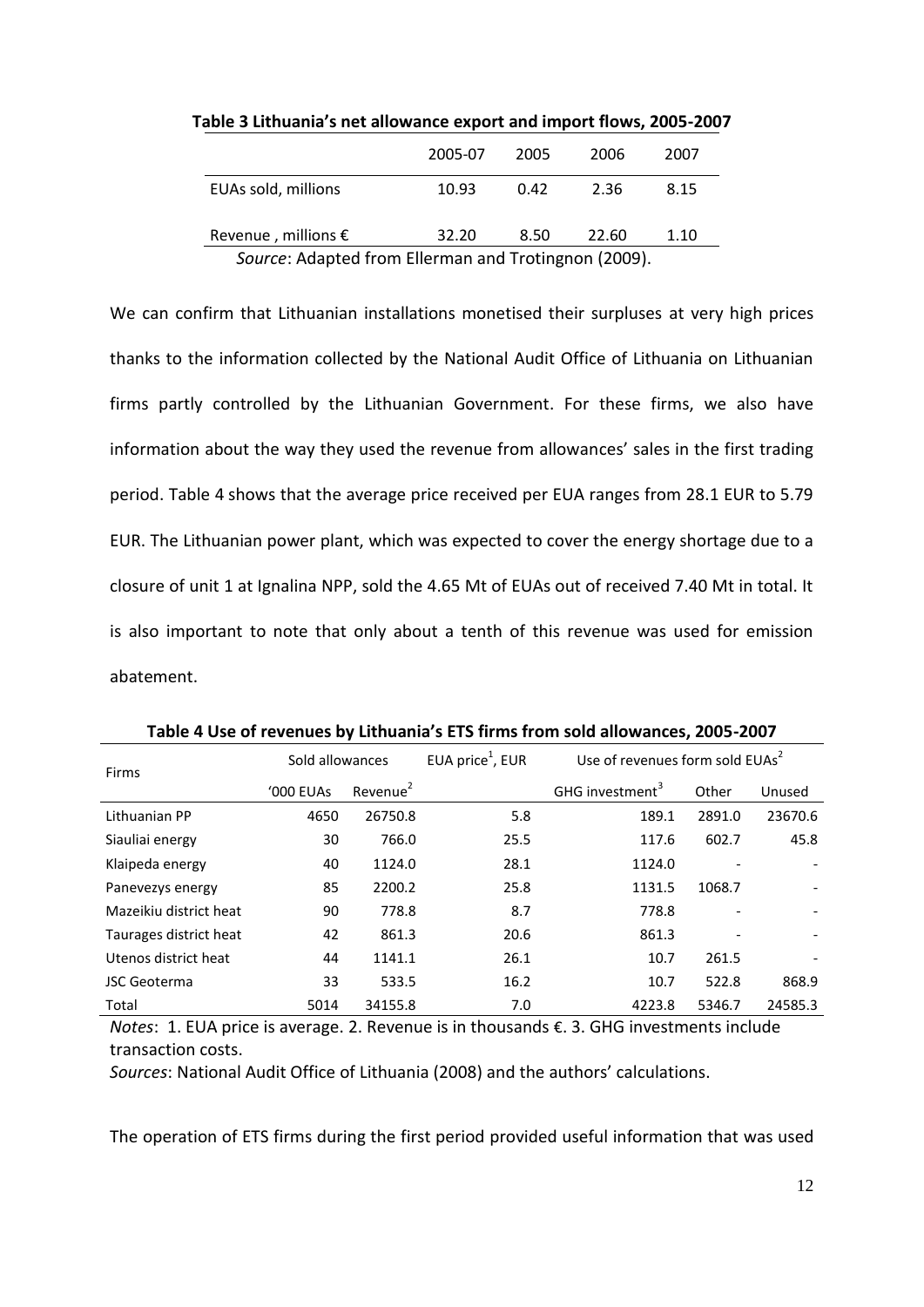|                                                      | 2005-07 | 2005 | 2006  | 2007 |  |
|------------------------------------------------------|---------|------|-------|------|--|
| EUAs sold, millions                                  | 10.93   | 0.42 | 2.36  | 8.15 |  |
| Revenue, millions $\epsilon$                         | 32.20   | 8.50 | 22.60 | 1.10 |  |
| Source: Adapted from Ellerman and Trotingnon (2009). |         |      |       |      |  |

<span id="page-12-0"></span>**Table 3 Lithuania's net allowance export and import flows, 2005-2007**

We can confirm that Lithuanian installations monetised their surpluses at very high prices thanks to the information collected by the National Audit Office of Lithuania on Lithuanian firms partly controlled by the Lithuanian Government. For these firms, we also have information about the way they used the revenue from allowances' sales in the first trading period. [Table 4](#page-12-1) shows that the average price received per EUA ranges from 28.1 EUR to 5.79 EUR. The Lithuanian power plant, which was expected to cover the energy shortage due to a closure of unit 1 at Ignalina NPP, sold the 4.65 Mt of EUAs out of received 7.40 Mt in total. It is also important to note that only about a tenth of this revenue was used for emission abatement.

<span id="page-12-1"></span>

| Firms                  | Sold allowances |                      | EUA price <sup>1</sup> , EUR | Use of revenues form sold EUAs <sup>2</sup> |        |         |
|------------------------|-----------------|----------------------|------------------------------|---------------------------------------------|--------|---------|
|                        | '000 EUAs       | Revenue <sup>2</sup> |                              | GHG investment <sup>3</sup>                 | Other  | Unused  |
| Lithuanian PP          | 4650            | 26750.8              | 5.8                          | 189.1                                       | 2891.0 | 23670.6 |
| Siauliai energy        | 30              | 766.0                | 25.5                         | 117.6                                       | 602.7  | 45.8    |
| Klaipeda energy        | 40              | 1124.0               | 28.1                         | 1124.0                                      |        |         |
| Panevezys energy       | 85              | 2200.2               | 25.8                         | 1131.5                                      | 1068.7 |         |
| Mazeikiu district heat | 90              | 778.8                | 8.7                          | 778.8                                       |        |         |
| Taurages district heat | 42              | 861.3                | 20.6                         | 861.3                                       |        |         |
| Utenos district heat   | 44              | 1141.1               | 26.1                         | 10.7                                        | 261.5  |         |
| <b>JSC Geoterma</b>    | 33              | 533.5                | 16.2                         | 10.7                                        | 522.8  | 868.9   |
| Total                  | 5014            | 34155.8              | 7.0                          | 4223.8                                      | 5346.7 | 24585.3 |

**Table 4 Use of revenues by Lithuania's ETS firms from sold allowances, 2005-2007**

*Notes*: 1. EUA price is average. 2. Revenue is in thousands €. 3. GHG investments include transaction costs.

*Sources*: [National Audit Office of Lithuania \(2008\)](#page-37-1) and the authors' calculations.

The operation of ETS firms during the first period provided useful information that was used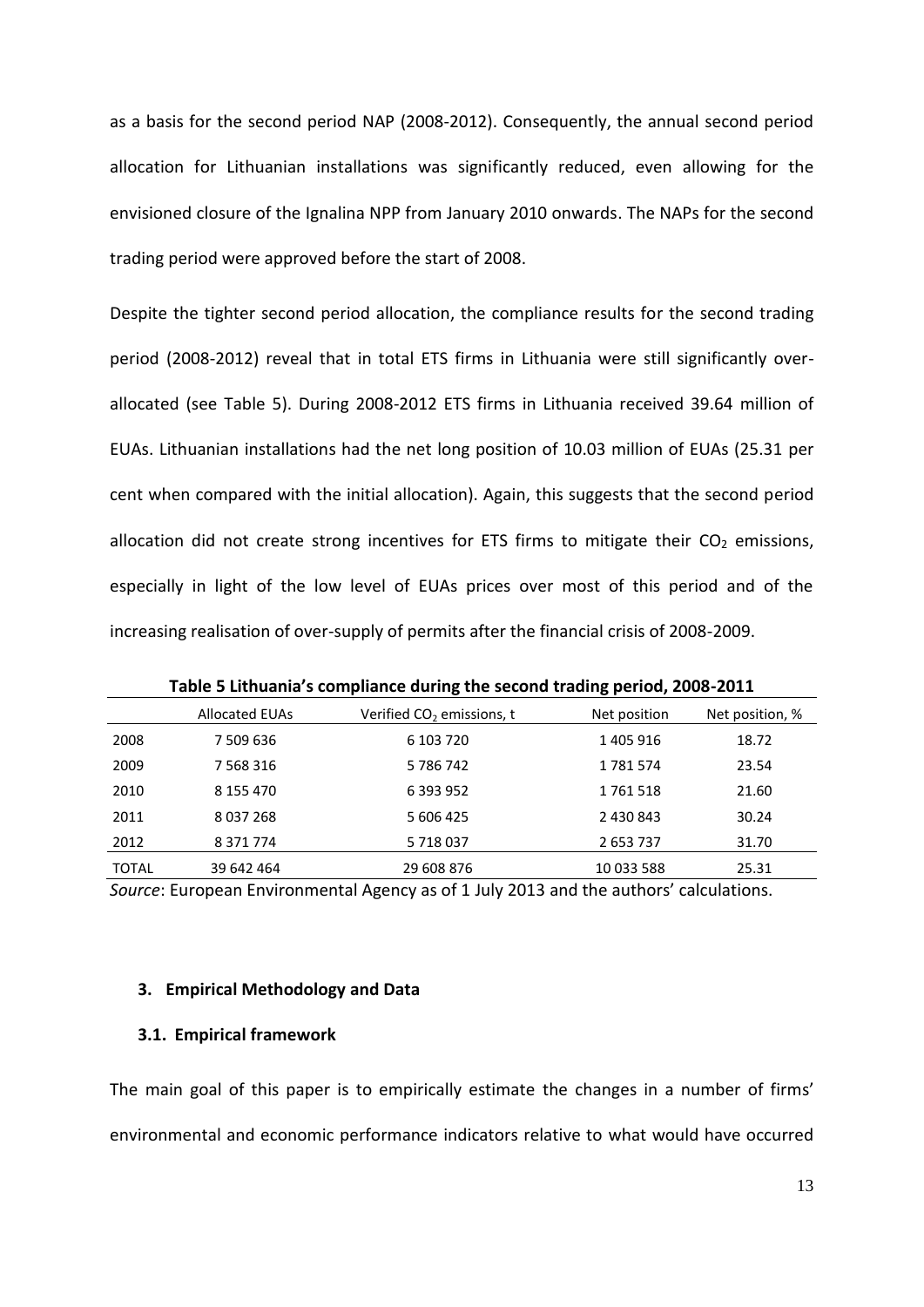as a basis for the second period NAP (2008-2012). Consequently, the annual second period allocation for Lithuanian installations was significantly reduced, even allowing for the envisioned closure of the Ignalina NPP from January 2010 onwards. The NAPs for the second trading period were approved before the start of 2008.

Despite the tighter second period allocation, the compliance results for the second trading period (2008-2012) reveal that in total ETS firms in Lithuania were still significantly overallocated (see [Table 5\)](#page-13-0). During 2008-2012 ETS firms in Lithuania received 39.64 million of EUAs. Lithuanian installations had the net long position of 10.03 million of EUAs (25.31 per cent when compared with the initial allocation). Again, this suggests that the second period allocation did not create strong incentives for ETS firms to mitigate their  $CO<sub>2</sub>$  emissions, especially in light of the low level of EUAs prices over most of this period and of the increasing realisation of over-supply of permits after the financial crisis of 2008-2009.

<span id="page-13-0"></span>

|              | <b>Allocated EUAs</b> | Verified CO <sub>2</sub> emissions, t | Net position | Net position, % |
|--------------|-----------------------|---------------------------------------|--------------|-----------------|
| 2008         | 7 509 636             | 6 103 720                             | 1 405 916    | 18.72           |
| 2009         | 7 5 68 3 16           | 5786742                               | 1781574      | 23.54           |
| 2010         | 8 155 470             | 6 393 952                             | 1761518      | 21.60           |
| 2011         | 8 0 3 7 2 6 8         | 5 606 425                             | 2 430 843    | 30.24           |
| 2012         | 8 3 7 1 7 7 4         | 5 718 037                             | 2653737      | 31.70           |
| <b>TOTAL</b> | 39 642 464            | 29 608 876                            | 10 033 588   | 25.31           |

**Table 5 Lithuania's compliance during the second trading period, 2008-2011**

*Source*: European Environmental Agency as of 1 July 2013 and the authors' calculations.

## **3. Empirical Methodology and Data**

#### **3.1. Empirical framework**

The main goal of this paper is to empirically estimate the changes in a number of firms' environmental and economic performance indicators relative to what would have occurred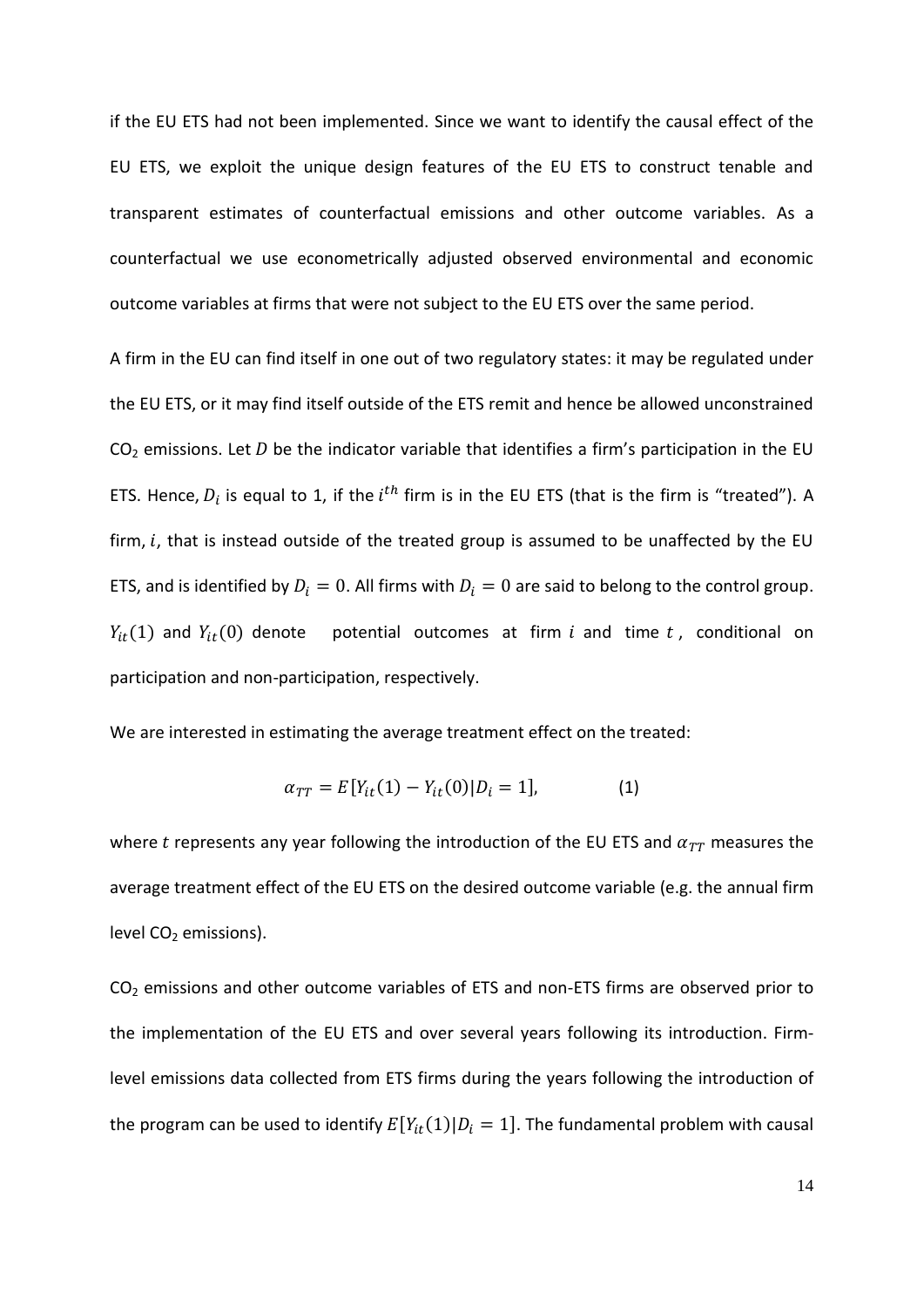if the EU ETS had not been implemented. Since we want to identify the causal effect of the EU ETS, we exploit the unique design features of the EU ETS to construct tenable and transparent estimates of counterfactual emissions and other outcome variables. As a counterfactual we use econometrically adjusted observed environmental and economic outcome variables at firms that were not subject to the EU ETS over the same period.

A firm in the EU can find itself in one out of two regulatory states: it may be regulated under the EU ETS, or it may find itself outside of the ETS remit and hence be allowed unconstrained  $CO<sub>2</sub>$  emissions. Let D be the indicator variable that identifies a firm's participation in the EU ETS. Hence,  $D_i$  is equal to 1, if the  $i^{th}$  firm is in the EU ETS (that is the firm is "treated"). A firm,  $i$ , that is instead outside of the treated group is assumed to be unaffected by the EU ETS, and is identified by  $D_i = 0$ . All firms with  $D_i = 0$  are said to belong to the control group.  $Y_{it}(1)$  and  $Y_{it}(0)$  denote potential outcomes at firm i and time t, conditional on participation and non-participation, respectively.

We are interested in estimating the average treatment effect on the treated:

$$
\alpha_{TT} = E[Y_{it}(1) - Y_{it}(0)|D_i = 1], \tag{1}
$$

where t represents any year following the introduction of the EU ETS and  $\alpha_{TT}$  measures the average treatment effect of the EU ETS on the desired outcome variable (e.g. the annual firm level  $CO<sub>2</sub>$  emissions).

 $CO<sub>2</sub>$  emissions and other outcome variables of ETS and non-ETS firms are observed prior to the implementation of the EU ETS and over several years following its introduction. Firmlevel emissions data collected from ETS firms during the years following the introduction of the program can be used to identify  $E[Y_{it}(1)|D_i=1]$ . The fundamental problem with causal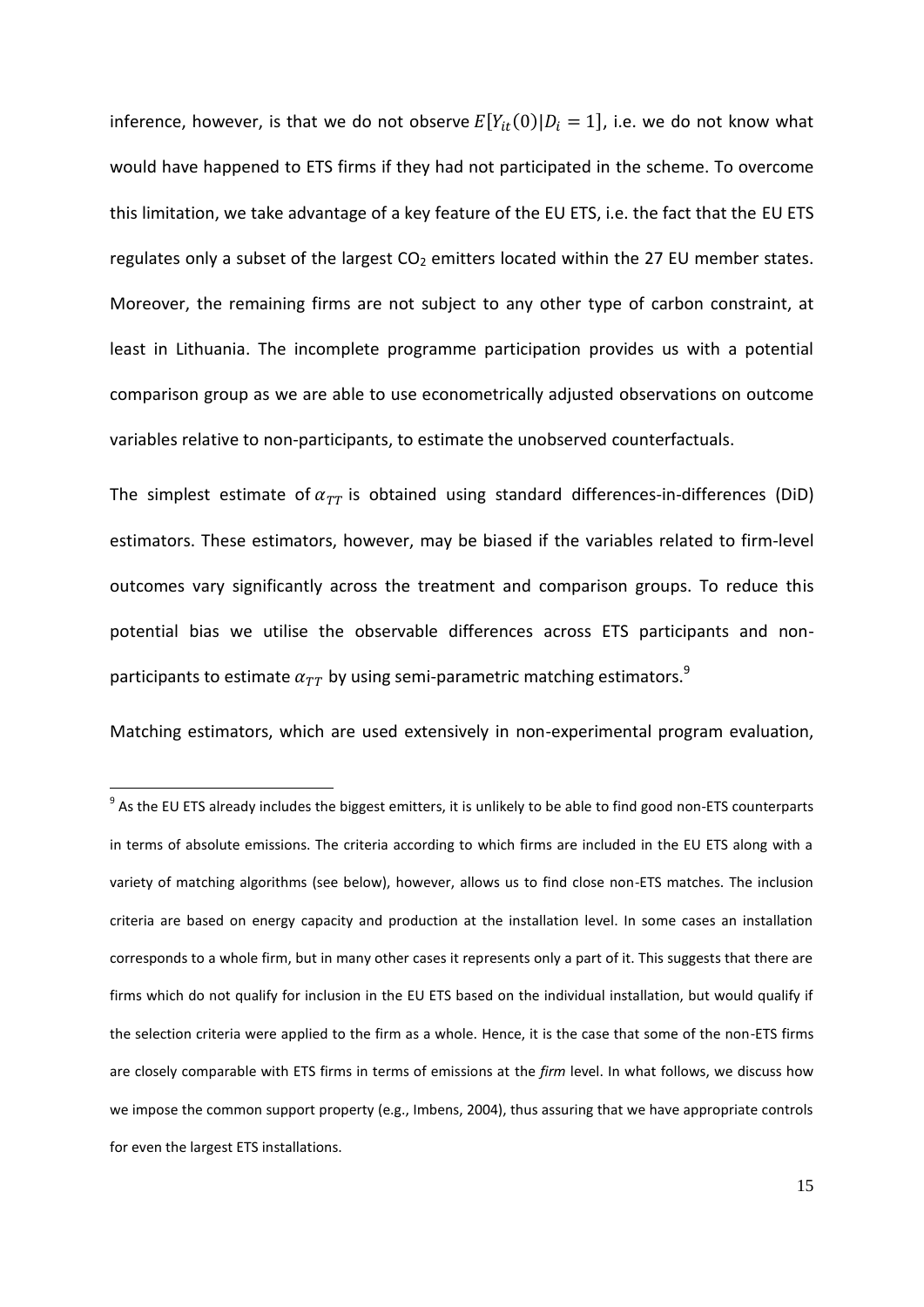inference, however, is that we do not observe  $E[Y_{it}(0)|D_i=1]$ , i.e. we do not know what would have happened to ETS firms if they had not participated in the scheme. To overcome this limitation, we take advantage of a key feature of the EU ETS, i.e. the fact that the EU ETS regulates only a subset of the largest  $CO<sub>2</sub>$  emitters located within the 27 EU member states. Moreover, the remaining firms are not subject to any other type of carbon constraint, at least in Lithuania. The incomplete programme participation provides us with a potential comparison group as we are able to use econometrically adjusted observations on outcome variables relative to non-participants, to estimate the unobserved counterfactuals.

The simplest estimate of  $\alpha_{TT}$  is obtained using standard differences-in-differences (DiD) estimators. These estimators, however, may be biased if the variables related to firm-level outcomes vary significantly across the treatment and comparison groups. To reduce this potential bias we utilise the observable differences across ETS participants and nonparticipants to estimate  $\alpha_{TT}$  by using semi-parametric matching estimators.<sup>9</sup>

Matching estimators, which are used extensively in non-experimental program evaluation,

**.** 

<sup>&</sup>lt;sup>9</sup> As the EU ETS already includes the biggest emitters, it is unlikely to be able to find good non-ETS counterparts in terms of absolute emissions. The criteria according to which firms are included in the EU ETS along with a variety of matching algorithms (see below), however, allows us to find close non-ETS matches. The inclusion criteria are based on energy capacity and production at the installation level. In some cases an installation corresponds to a whole firm, but in many other cases it represents only a part of it. This suggests that there are firms which do not qualify for inclusion in the EU ETS based on the individual installation, but would qualify if the selection criteria were applied to the firm as a whole. Hence, it is the case that some of the non-ETS firms are closely comparable with ETS firms in terms of emissions at the *firm* level. In what follows, we discuss how we impose the common support property (e.g., Imbens, 2004), thus assuring that we have appropriate controls for even the largest ETS installations.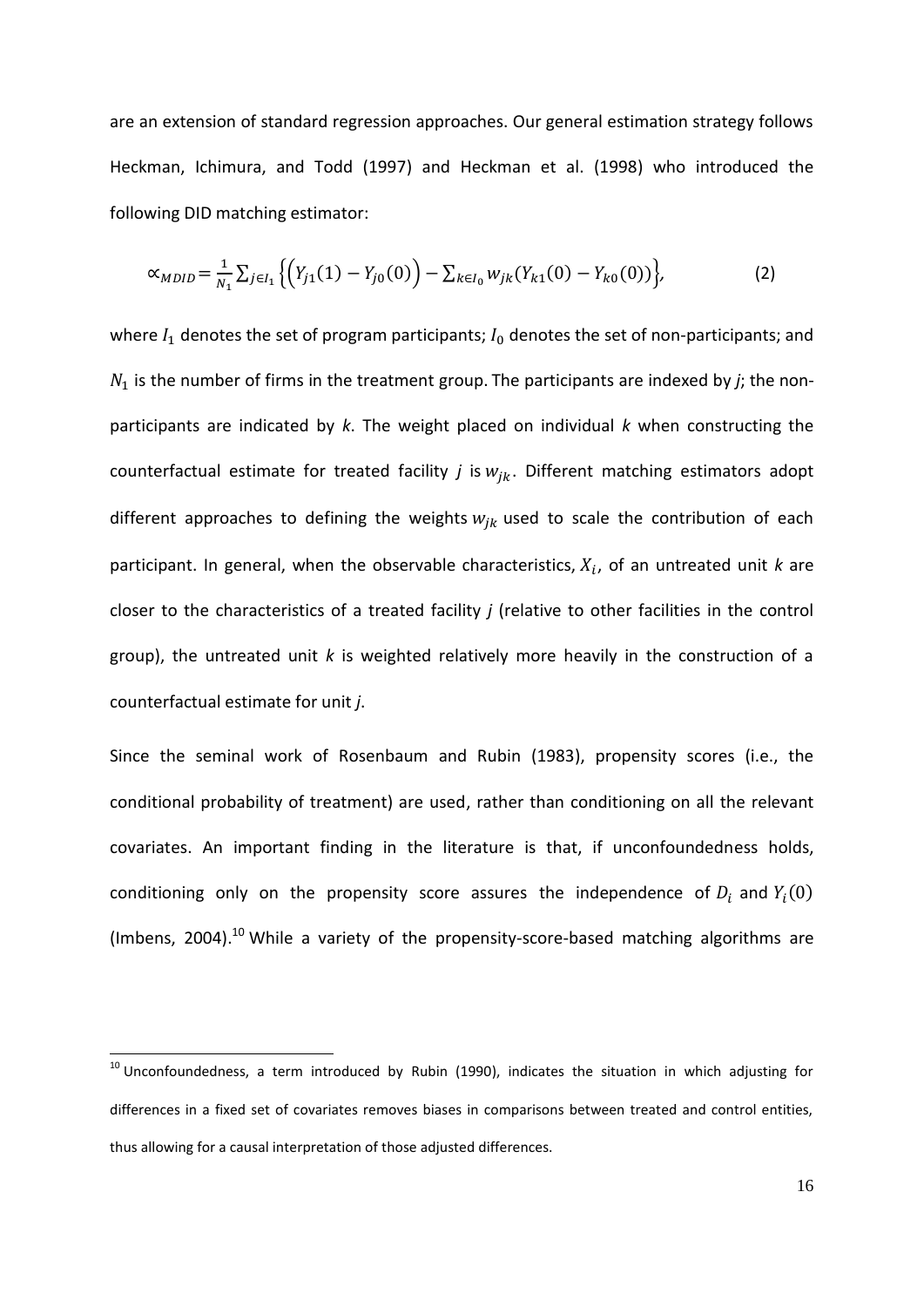are an extension of standard regression approaches. Our general estimation strategy follows [Heckman, Ichimura, and Todd \(1997\)](#page-37-2) and [Heckman et al. \(1998\)](#page-36-8) who introduced the following DID matching estimator:

$$
\alpha_{MDID} = \frac{1}{N_1} \sum_{j \in I_1} \left\{ \left( Y_{j1}(1) - Y_{j0}(0) \right) - \sum_{k \in I_0} w_{jk} (Y_{k1}(0) - Y_{k0}(0)) \right\},\tag{2}
$$

where  $I_1$  denotes the set of program participants;  $I_0$  denotes the set of non-participants; and  $N_1$  is the number of firms in the treatment group. The participants are indexed by *j*; the nonparticipants are indicated by *k*. The weight placed on individual *k* when constructing the counterfactual estimate for treated facility  $j$  is  $w_{ik}$ . Different matching estimators adopt different approaches to defining the weights  $w_{ik}$  used to scale the contribution of each participant. In general, when the observable characteristics,  $X_i$ , of an untreated unit  $k$  are closer to the characteristics of a treated facility *j* (relative to other facilities in the control group), the untreated unit *k* is weighted relatively more heavily in the construction of a counterfactual estimate for unit *j*.

Since the seminal work of [Rosenbaum and Rubin \(1983\)](#page-37-3), propensity scores (i.e., the conditional probability of treatment) are used, rather than conditioning on all the relevant covariates. An important finding in the literature is that, if unconfoundedness holds, conditioning only on the propensity score assures the independence of  $D_i$  and  $Y_i$ (Imbens, 2004).<sup>10</sup> While a variety of the propensity-score-based matching algorithms are

 $\overline{\phantom{a}}$ 

 $10$  Unconfoundedness, a term introduced by [Rubin \(1990\)](#page-37-4), indicates the situation in which adjusting for differences in a fixed set of covariates removes biases in comparisons between treated and control entities, thus allowing for a causal interpretation of those adjusted differences.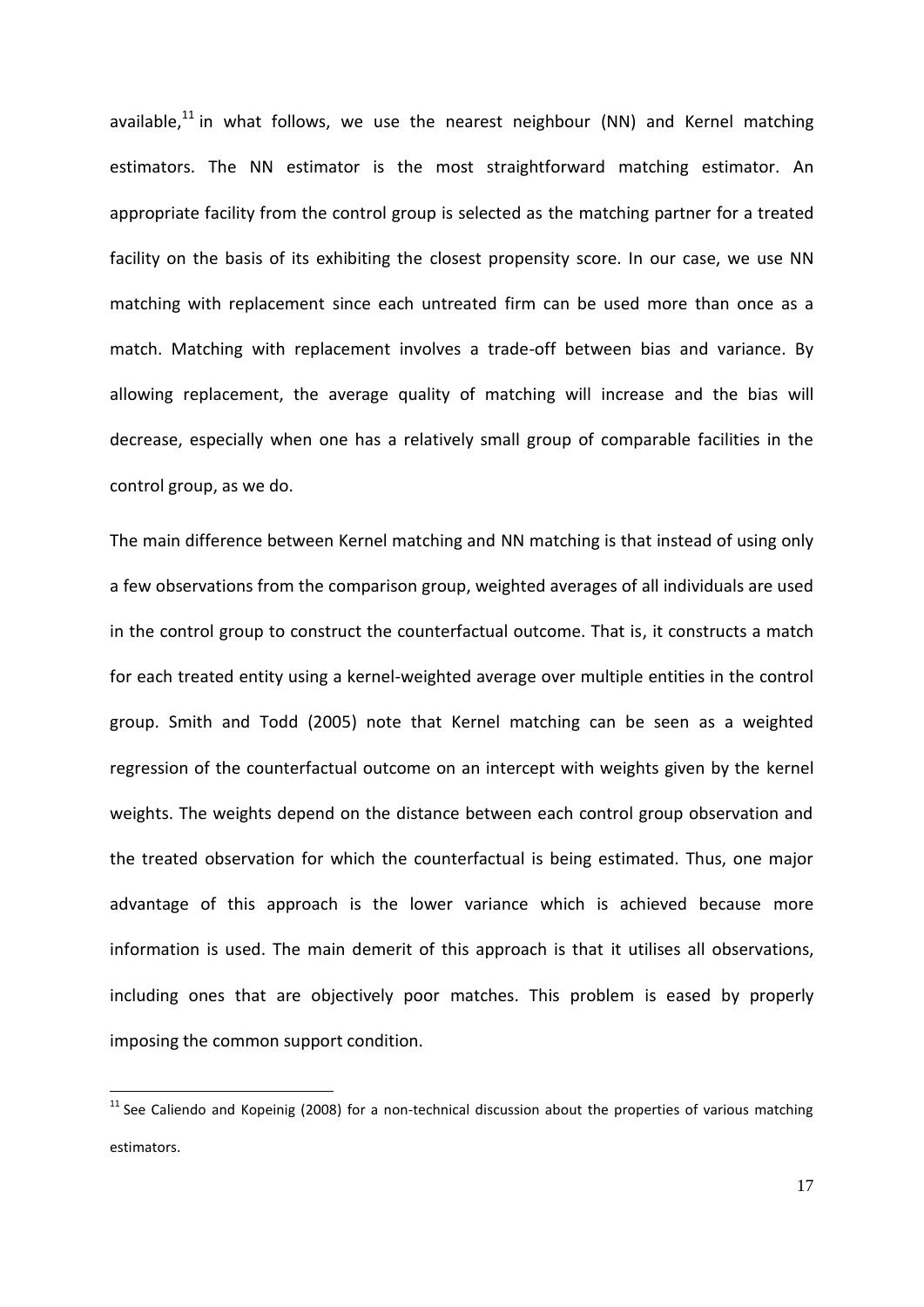available, $^{11}$  in what follows, we use the nearest neighbour (NN) and Kernel matching estimators. The NN estimator is the most straightforward matching estimator. An appropriate facility from the control group is selected as the matching partner for a treated facility on the basis of its exhibiting the closest propensity score. In our case, we use NN matching with replacement since each untreated firm can be used more than once as a match. Matching with replacement involves a trade-off between bias and variance. By allowing replacement, the average quality of matching will increase and the bias will decrease, especially when one has a relatively small group of comparable facilities in the control group, as we do.

The main difference between Kernel matching and NN matching is that instead of using only a few observations from the comparison group, weighted averages of all individuals are used in the control group to construct the counterfactual outcome. That is, it constructs a match for each treated entity using a kernel-weighted average over multiple entities in the control group. [Smith and Todd \(2005\)](#page-37-5) note that Kernel matching can be seen as a weighted regression of the counterfactual outcome on an intercept with weights given by the kernel weights. The weights depend on the distance between each control group observation and the treated observation for which the counterfactual is being estimated. Thus, one major advantage of this approach is the lower variance which is achieved because more information is used. The main demerit of this approach is that it utilises all observations, including ones that are objectively poor matches. This problem is eased by properly imposing the common support condition.

**.** 

 $11$  See [Caliendo and Kopeinig \(2008\)](#page-36-9) for a non-technical discussion about the properties of various matching estimators.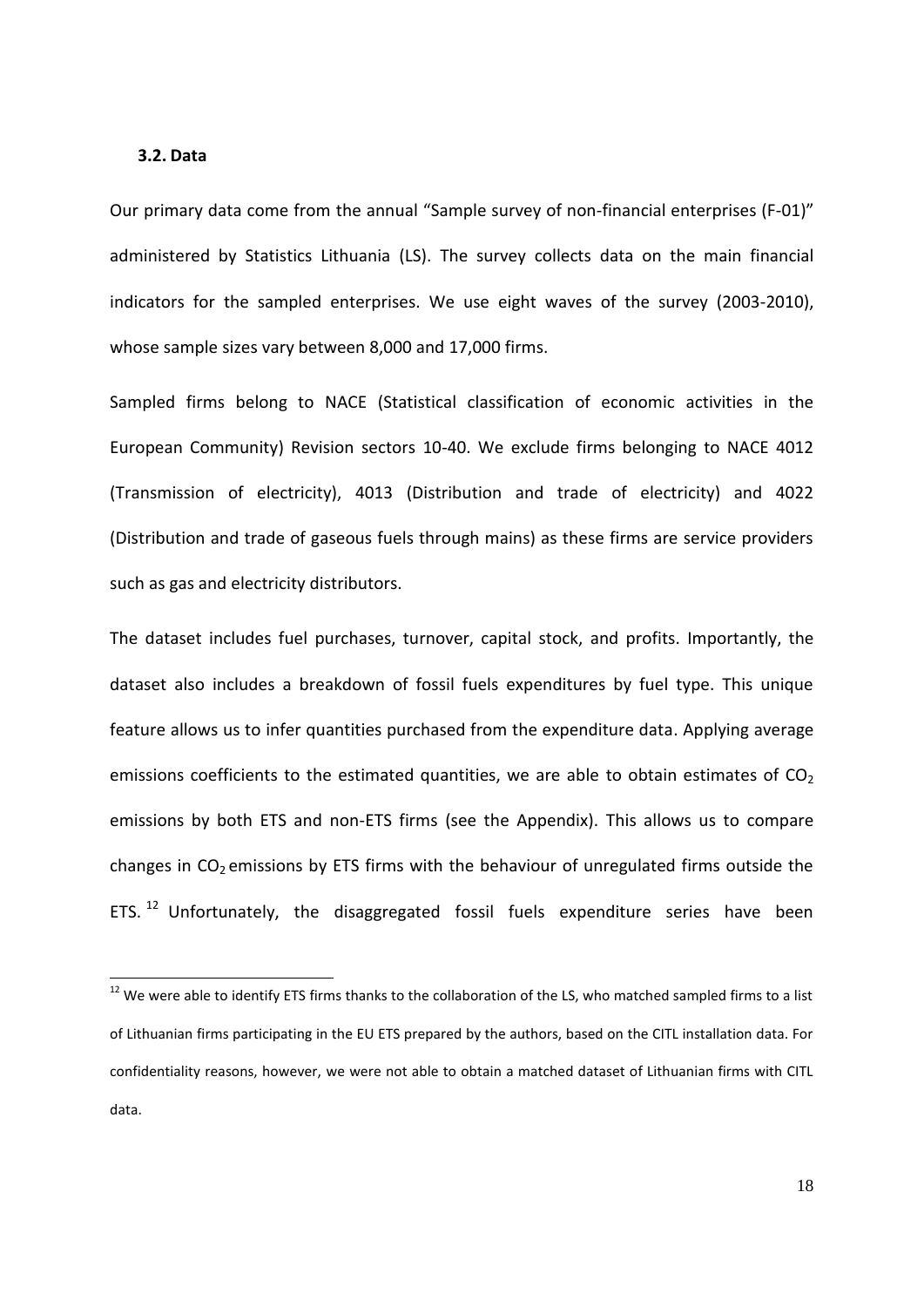#### **3.2. Data**

 $\overline{\phantom{a}}$ 

Our primary data come from the annual "Sample survey of non-financial enterprises (F-01)" administered by Statistics Lithuania (LS). The survey collects data on the main financial indicators for the sampled enterprises. We use eight waves of the survey (2003-2010), whose sample sizes vary between 8,000 and 17,000 firms.

Sampled firms belong to NACE (Statistical classification of economic activities in the European Community) Revision sectors 10-40. We exclude firms belonging to NACE 4012 (Transmission of electricity), 4013 (Distribution and trade of electricity) and 4022 (Distribution and trade of gaseous fuels through mains) as these firms are service providers such as gas and electricity distributors.

The dataset includes fuel purchases, turnover, capital stock, and profits. Importantly, the dataset also includes a breakdown of fossil fuels expenditures by fuel type. This unique feature allows us to infer quantities purchased from the expenditure data. Applying average emissions coefficients to the estimated quantities, we are able to obtain estimates of  $CO<sub>2</sub>$ emissions by both ETS and non-ETS firms (see the Appendix). This allows us to compare changes in  $CO<sub>2</sub>$  emissions by ETS firms with the behaviour of unregulated firms outside the ETS.<sup>12</sup> Unfortunately, the disaggregated fossil fuels expenditure series have been

 $12$  We were able to identify ETS firms thanks to the collaboration of the LS, who matched sampled firms to a list of Lithuanian firms participating in the EU ETS prepared by the authors, based on the CITL installation data. For confidentiality reasons, however, we were not able to obtain a matched dataset of Lithuanian firms with CITL data.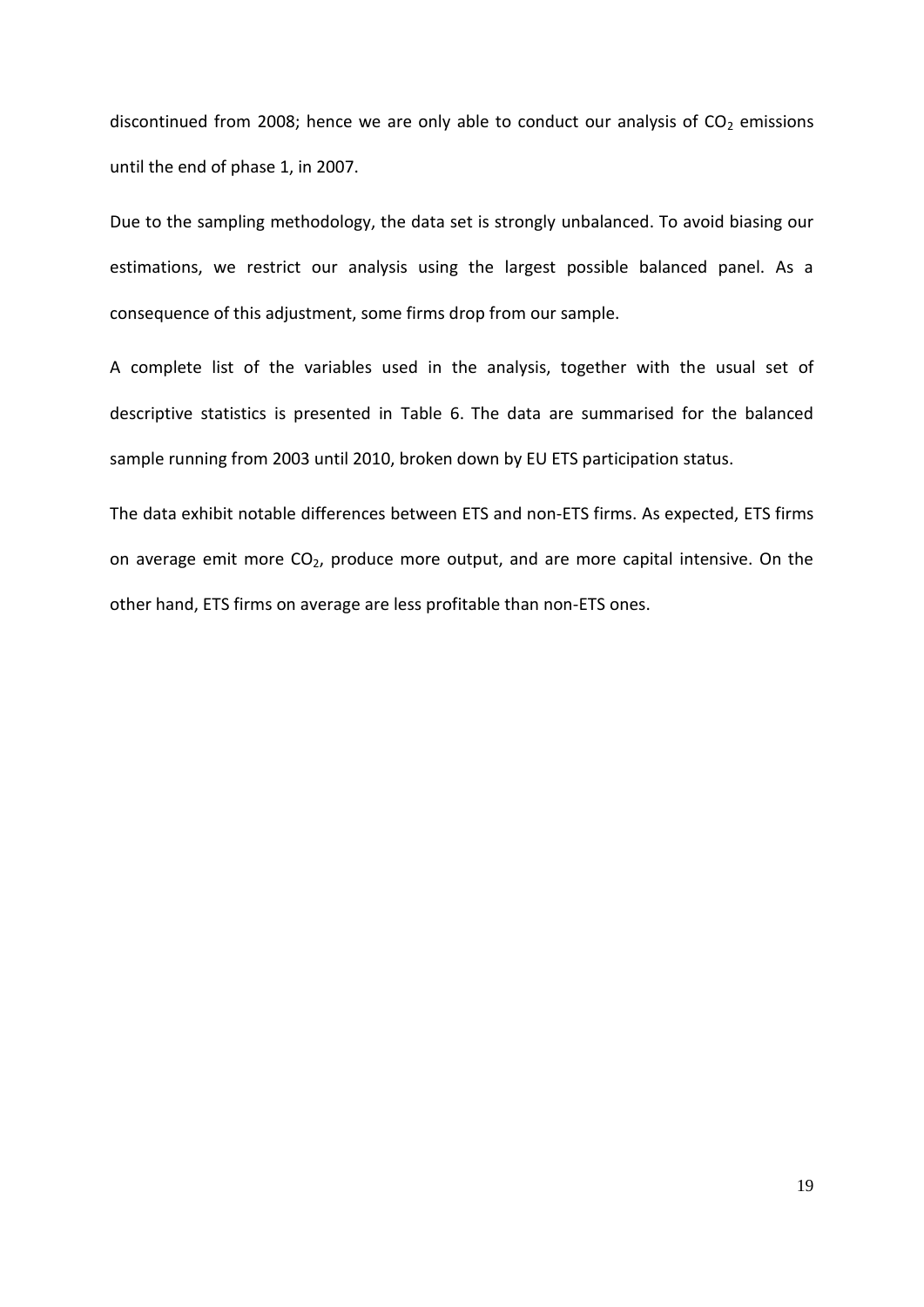discontinued from 2008; hence we are only able to conduct our analysis of  $CO<sub>2</sub>$  emissions until the end of phase 1, in 2007.

Due to the sampling methodology, the data set is strongly unbalanced. To avoid biasing our estimations, we restrict our analysis using the largest possible balanced panel. As a consequence of this adjustment, some firms drop from our sample.

A complete list of the variables used in the analysis, together with the usual set of descriptive statistics is presented in [Table 6.](#page-20-0) The data are summarised for the balanced sample running from 2003 until 2010, broken down by EU ETS participation status.

The data exhibit notable differences between ETS and non-ETS firms. As expected, ETS firms on average emit more  $CO<sub>2</sub>$ , produce more output, and are more capital intensive. On the other hand, ETS firms on average are less profitable than non-ETS ones.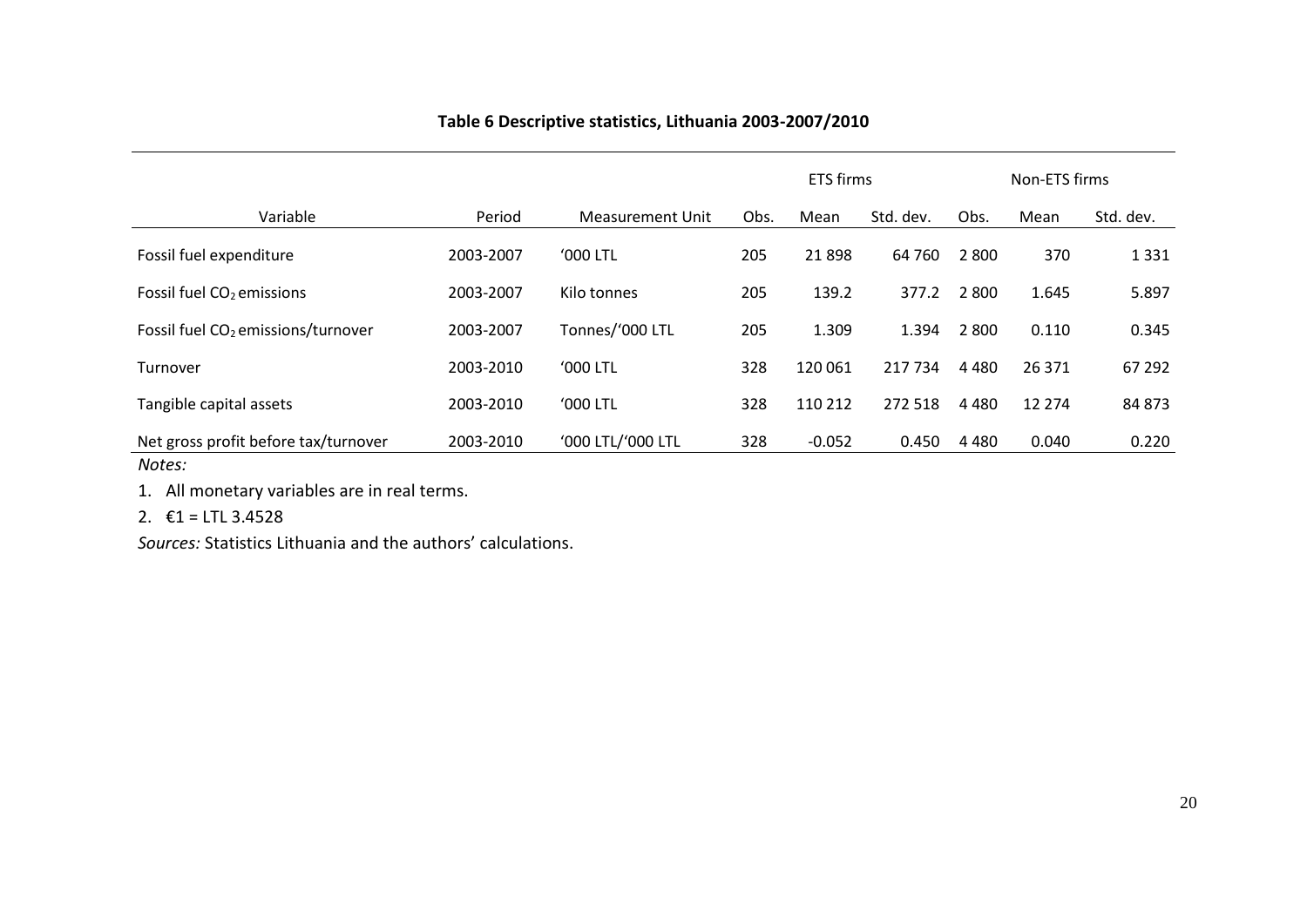# **Table 6 Descriptive statistics, Lithuania 2003-2007/2010**

|                                                |           |                   |      | <b>ETS</b> firms |           |         | Non-ETS firms |           |
|------------------------------------------------|-----------|-------------------|------|------------------|-----------|---------|---------------|-----------|
| Variable                                       | Period    | Measurement Unit  | Obs. | Mean             | Std. dev. | Obs.    | Mean          | Std. dev. |
| Fossil fuel expenditure                        | 2003-2007 | <b>'000 LTL</b>   | 205  | 21898            | 64 760    | 2 8 0 0 | 370           | 1 3 3 1   |
| Fossil fuel CO <sub>2</sub> emissions          | 2003-2007 | Kilo tonnes       | 205  | 139.2            | 377.2     | 2 8 0 0 | 1.645         | 5.897     |
| Fossil fuel CO <sub>2</sub> emissions/turnover | 2003-2007 | Tonnes/'000 LTL   | 205  | 1.309            | 1.394     | 2 8 0 0 | 0.110         | 0.345     |
| Turnover                                       | 2003-2010 | $'000$ LTL        | 328  | 120 061          | 217 734   | 4 4 8 0 | 26 371        | 67 292    |
| Tangible capital assets                        | 2003-2010 | <b>'000 LTL</b>   | 328  | 110 212          | 272 518   | 4 4 8 0 | 12 2 7 4      | 84 873    |
| Net gross profit before tax/turnover<br>Notes: | 2003-2010 | '000 LTL/'000 LTL | 328  | $-0.052$         | 0.450     | 4 4 8 0 | 0.040         | 0.220     |

<span id="page-20-0"></span>1. All monetary variables are in real terms.

2.  $\epsilon$ 1 = LTL 3.4528

*Sources:* Statistics Lithuania and the authors' calculations.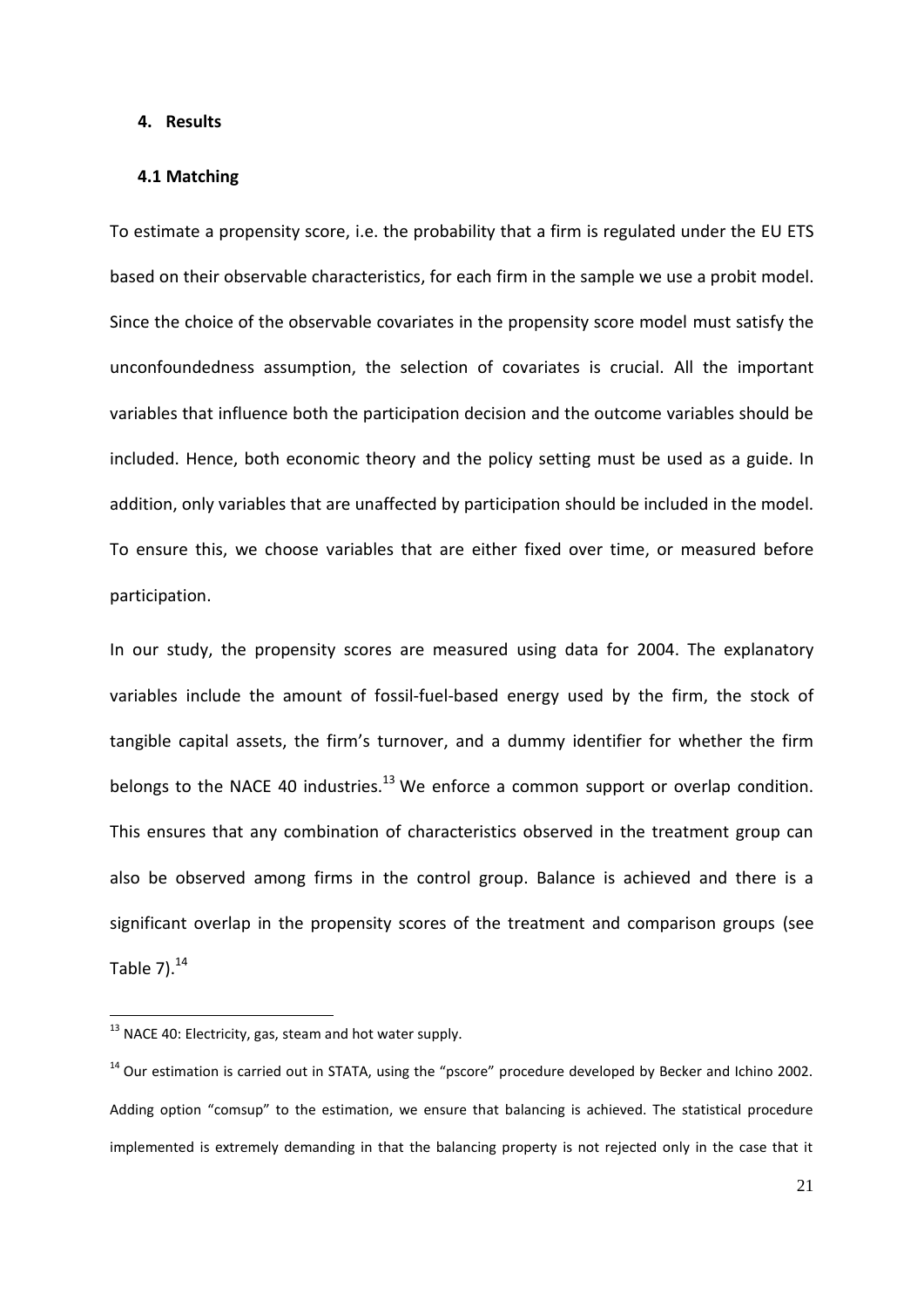#### **4. Results**

# **4.1 Matching**

To estimate a propensity score, i.e. the probability that a firm is regulated under the EU ETS based on their observable characteristics, for each firm in the sample we use a probit model. Since the choice of the observable covariates in the propensity score model must satisfy the unconfoundedness assumption, the selection of covariates is crucial. All the important variables that influence both the participation decision and the outcome variables should be included. Hence, both economic theory and the policy setting must be used as a guide. In addition, only variables that are unaffected by participation should be included in the model. To ensure this, we choose variables that are either fixed over time, or measured before participation.

In our study, the propensity scores are measured using data for 2004. The explanatory variables include the amount of fossil-fuel-based energy used by the firm, the stock of tangible capital assets, the firm's turnover, and a dummy identifier for whether the firm belongs to the NACE 40 industries.<sup>13</sup> We enforce a common support or overlap condition. This ensures that any combination of characteristics observed in the treatment group can also be observed among firms in the control group. Balance is achieved and there is a significant overlap in the propensity scores of the treatment and comparison groups (see Table 7). $^{14}$ 

 $\overline{\phantom{a}}$ 

 $13$  NACE 40: Electricity, gas, steam and hot water supply.

 $14$  Our estimation is carried out in STATA, using the "pscore" procedure developed by Becker and Ichino 2002. Adding option "comsup" to the estimation, we ensure that balancing is achieved. The statistical procedure implemented is extremely demanding in that the balancing property is not rejected only in the case that it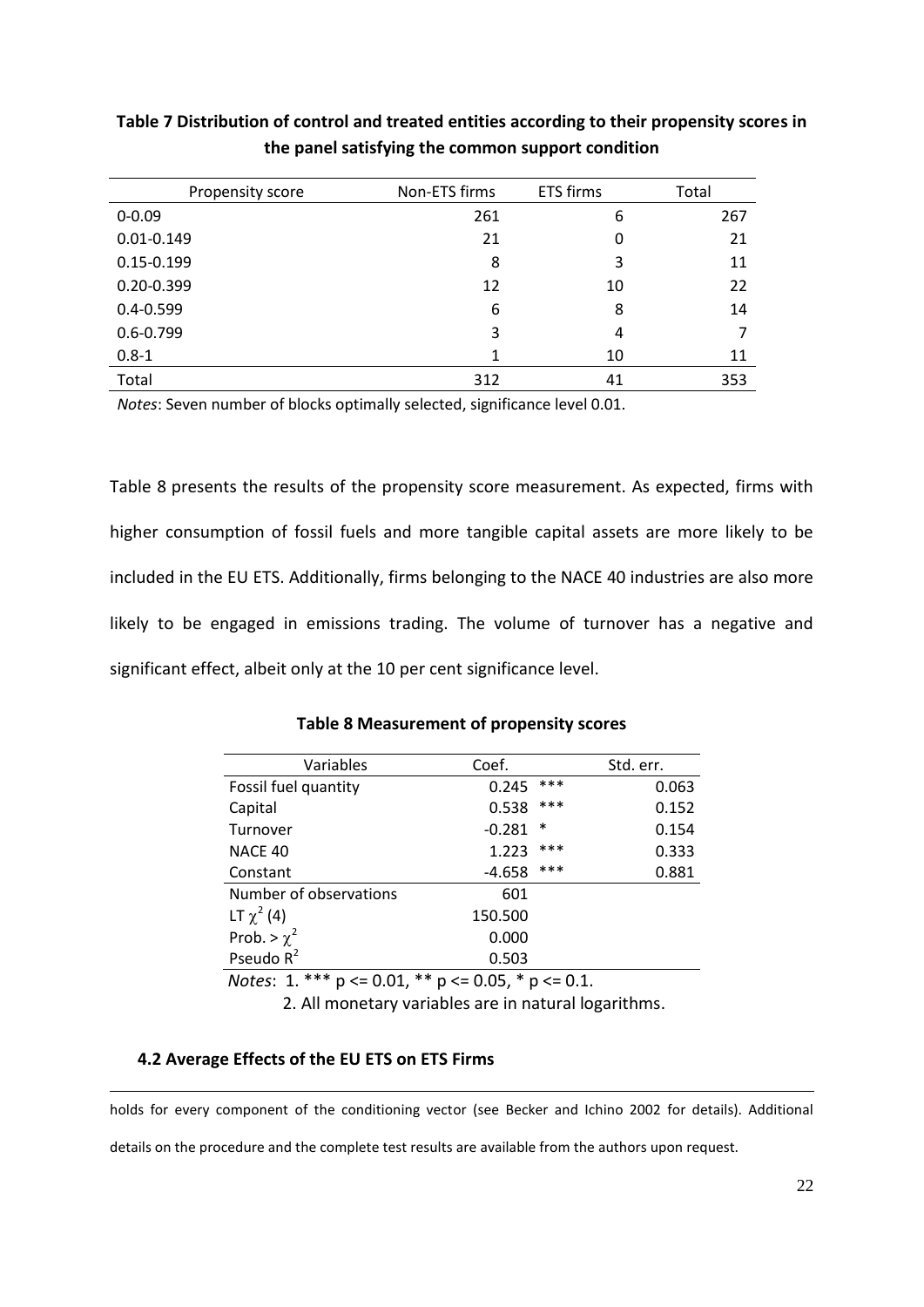| Propensity score | Non-ETS firms | <b>ETS firms</b> | Total |
|------------------|---------------|------------------|-------|
| $0 - 0.09$       | 261           | 6                | 267   |
| $0.01 - 0.149$   | 21            | 0                | 21    |
| $0.15 - 0.199$   | 8             | 3                | 11    |
| $0.20 - 0.399$   | 12            | 10               | 22    |
| $0.4 - 0.599$    | 6             | 8                | 14    |
| $0.6 - 0.799$    | 3             | 4                |       |
| $0.8 - 1$        | 1             | 10               | 11    |
| Total            | 312           | 41               | 353   |

**Table 7 Distribution of control and treated entities according to their propensity scores in the panel satisfying the common support condition**

*Notes*: Seven number of blocks optimally selected, significance level 0.01.

[Table 8](#page-22-0) presents the results of the propensity score measurement. As expected, firms with higher consumption of fossil fuels and more tangible capital assets are more likely to be included in the EU ETS. Additionally, firms belonging to the NACE 40 industries are also more likely to be engaged in emissions trading. The volume of turnover has a negative and significant effect, albeit only at the 10 per cent significance level.

# **Table 8 Measurement of propensity scores**

<span id="page-22-0"></span>

| Variables              | Coef.    |        | Std. err. |
|------------------------|----------|--------|-----------|
| Fossil fuel quantity   | 0.245    | $***$  | 0.063     |
| Capital                | 0.538    | ***    | 0.152     |
| Turnover               | $-0.281$ | $\ast$ | 0.154     |
| NACE 40                | 1.223    | ***    | 0.333     |
| Constant               | $-4.658$ | ***    | 0.881     |
| Number of observations | 601      |        |           |
| LT $\chi^2$ (4)        | 150.500  |        |           |
| Prob. > $\chi^2$       | 0.000    |        |           |
| Pseudo $R^2$           | 0.503    |        |           |

 *Notes*: 1. \*\*\* p <= 0.01, \*\* p <= 0.05, \* p <= 0.1.

2. All monetary variables are in natural logarithms.

# **4.2 Average Effects of the EU ETS on ETS Firms**

**.** 

holds for every component of the conditioning vector (see Becker and Ichino 2002 for details). Additional

details on the procedure and the complete test results are available from the authors upon request.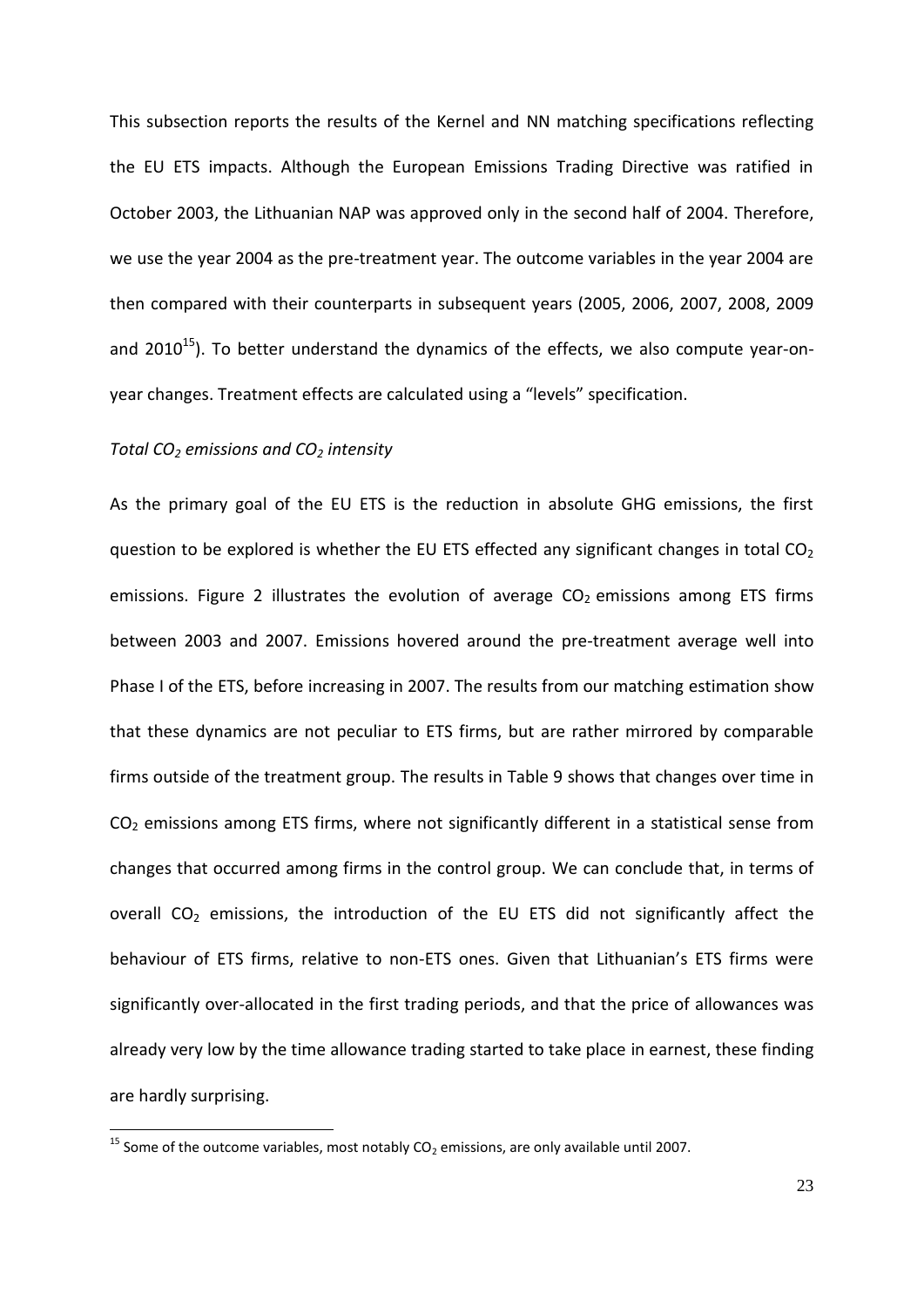This subsection reports the results of the Kernel and NN matching specifications reflecting the EU ETS impacts. Although the European Emissions Trading Directive was ratified in October 2003, the Lithuanian NAP was approved only in the second half of 2004. Therefore, we use the year 2004 as the pre-treatment year. The outcome variables in the year 2004 are then compared with their counterparts in subsequent years (2005, 2006, 2007, 2008, 2009 and 2010 $^{15}$ ). To better understand the dynamics of the effects, we also compute year-onyear changes. Treatment effects are calculated using a "levels" specification.

# *Total CO<sup>2</sup> emissions and CO<sup>2</sup> intensity*

**.** 

As the primary goal of the EU ETS is the reduction in absolute GHG emissions, the first question to be explored is whether the EU ETS effected any significant changes in total  $CO<sub>2</sub>$ emissions. Figure 2 illustrates the evolution of average  $CO<sub>2</sub>$  emissions among ETS firms between 2003 and 2007. Emissions hovered around the pre-treatment average well into Phase I of the ETS, before increasing in 2007. The results from our matching estimation show that these dynamics are not peculiar to ETS firms, but are rather mirrored by comparable firms outside of the treatment group. The results in [Table 9](#page-35-0) shows that changes over time in CO<sup>2</sup> emissions among ETS firms, where not significantly different in a statistical sense from changes that occurred among firms in the control group. We can conclude that, in terms of overall  $CO<sub>2</sub>$  emissions, the introduction of the EU ETS did not significantly affect the behaviour of ETS firms, relative to non-ETS ones. Given that Lithuanian's ETS firms were significantly over-allocated in the first trading periods, and that the price of allowances was already very low by the time allowance trading started to take place in earnest, these finding are hardly surprising.

<sup>&</sup>lt;sup>15</sup> Some of the outcome variables, most notably  $CO<sub>2</sub>$  emissions, are only available until 2007.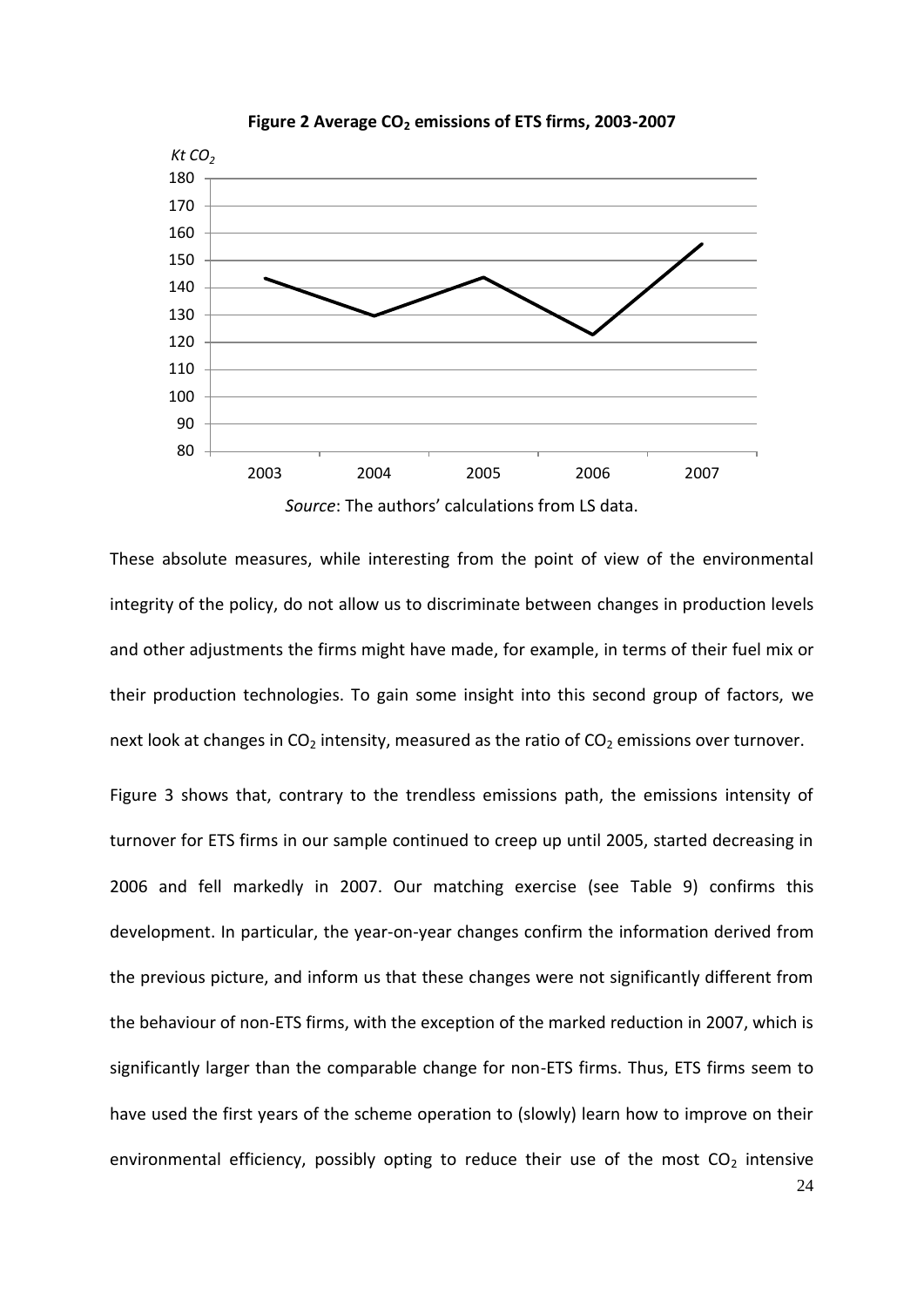

**Figure 2 Average CO<sup>2</sup> emissions of ETS firms, 2003-2007**

These absolute measures, while interesting from the point of view of the environmental integrity of the policy, do not allow us to discriminate between changes in production levels and other adjustments the firms might have made, for example, in terms of their fuel mix or their production technologies. To gain some insight into this second group of factors, we next look at changes in  $CO<sub>2</sub>$  intensity, measured as the ratio of  $CO<sub>2</sub>$  emissions over turnover.

[Figure 3](#page-25-0) shows that, contrary to the trendless emissions path, the emissions intensity of turnover for ETS firms in our sample continued to creep up until 2005, started decreasing in 2006 and fell markedly in 2007. Our matching exercise (see [Table 9\)](#page-35-0) confirms this development. In particular, the year-on-year changes confirm the information derived from the previous picture, and inform us that these changes were not significantly different from the behaviour of non-ETS firms, with the exception of the marked reduction in 2007, which is significantly larger than the comparable change for non-ETS firms. Thus, ETS firms seem to have used the first years of the scheme operation to (slowly) learn how to improve on their environmental efficiency, possibly opting to reduce their use of the most  $CO<sub>2</sub>$  intensive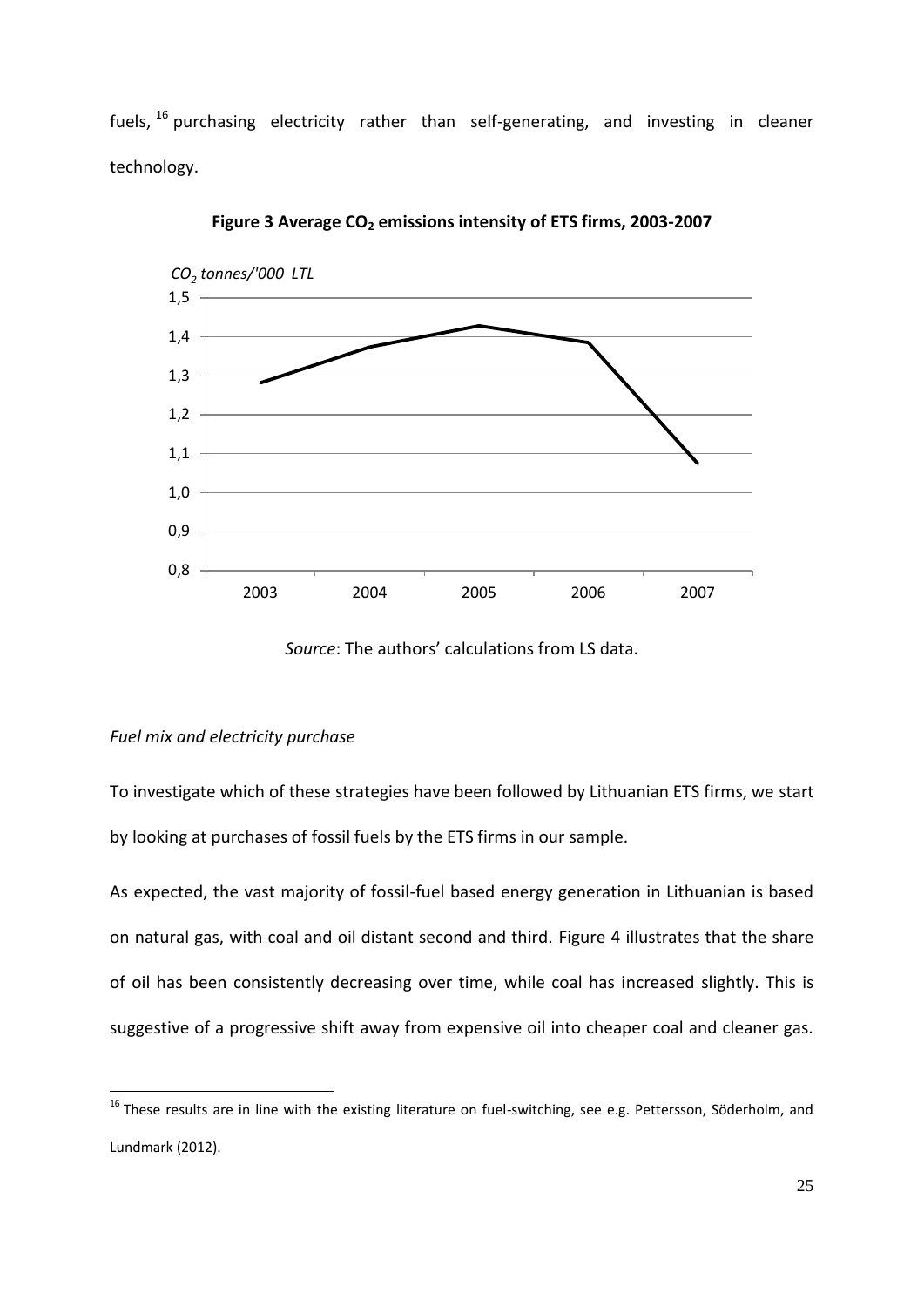fuels, <sup>16</sup> purchasing electricity rather than self-generating, and investing in cleaner technology.

<span id="page-25-0"></span>

**Figure 3 Average CO<sup>2</sup> emissions intensity of ETS firms, 2003-2007**

*Source*: The authors' calculations from LS data.

# *Fuel mix and electricity purchase*

**.** 

To investigate which of these strategies have been followed by Lithuanian ETS firms, we start by looking at purchases of fossil fuels by the ETS firms in our sample.

As expected, the vast majority of fossil-fuel based energy generation in Lithuanian is based on natural gas, with coal and oil distant second and third. Figure 4 illustrates that the share of oil has been consistently decreasing over time, while coal has increased slightly. This is suggestive of a progressive shift away from expensive oil into cheaper coal and cleaner gas.

<sup>&</sup>lt;sup>16</sup> These results are in line with the existing literature on fuel-switching, see e.g. Pettersson, Söderholm, and Lundmark (2012).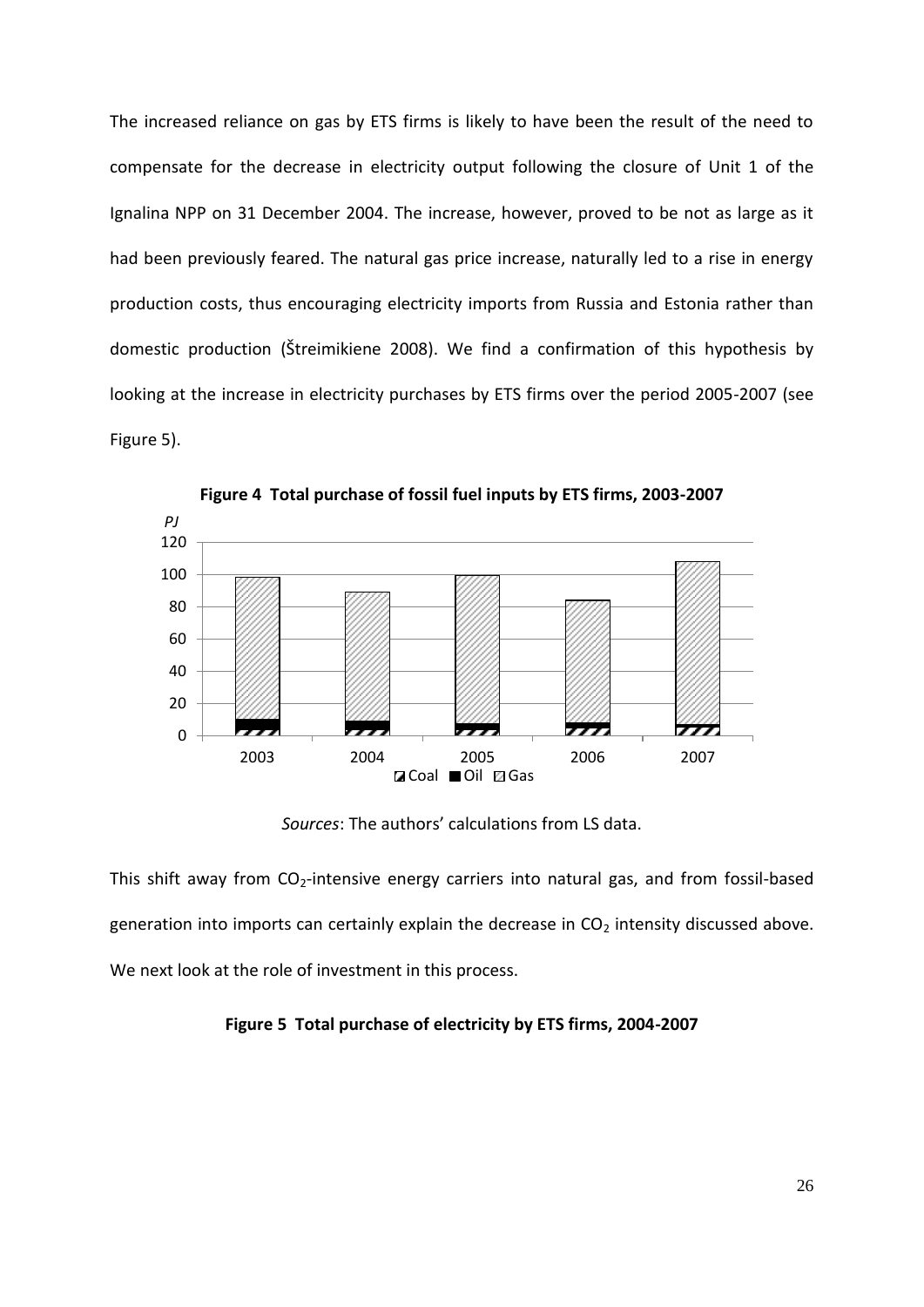The increased reliance on gas by ETS firms is likely to have been the result of the need to compensate for the decrease in electricity output following the closure of Unit 1 of the Ignalina NPP on 31 December 2004. The increase, however, proved to be not as large as it had been previously feared. The natural gas price increase, naturally led to a rise in energy production costs, thus encouraging electricity imports from Russia and Estonia rather than domestic production ([Štreimikiene 2008](#page-38-5)). We find a confirmation of this hypothesis by looking at the increase in electricity purchases by ETS firms over the period 2005-2007 (see [Figure 5\)](#page-26-0).



**Figure 4 Total purchase of fossil fuel inputs by ETS firms, 2003-2007**

*Sources*: The authors' calculations from LS data.

This shift away from  $CO<sub>2</sub>$ -intensive energy carriers into natural gas, and from fossil-based generation into imports can certainly explain the decrease in  $CO<sub>2</sub>$  intensity discussed above. We next look at the role of investment in this process.

# <span id="page-26-0"></span>**Figure 5 Total purchase of electricity by ETS firms, 2004-2007**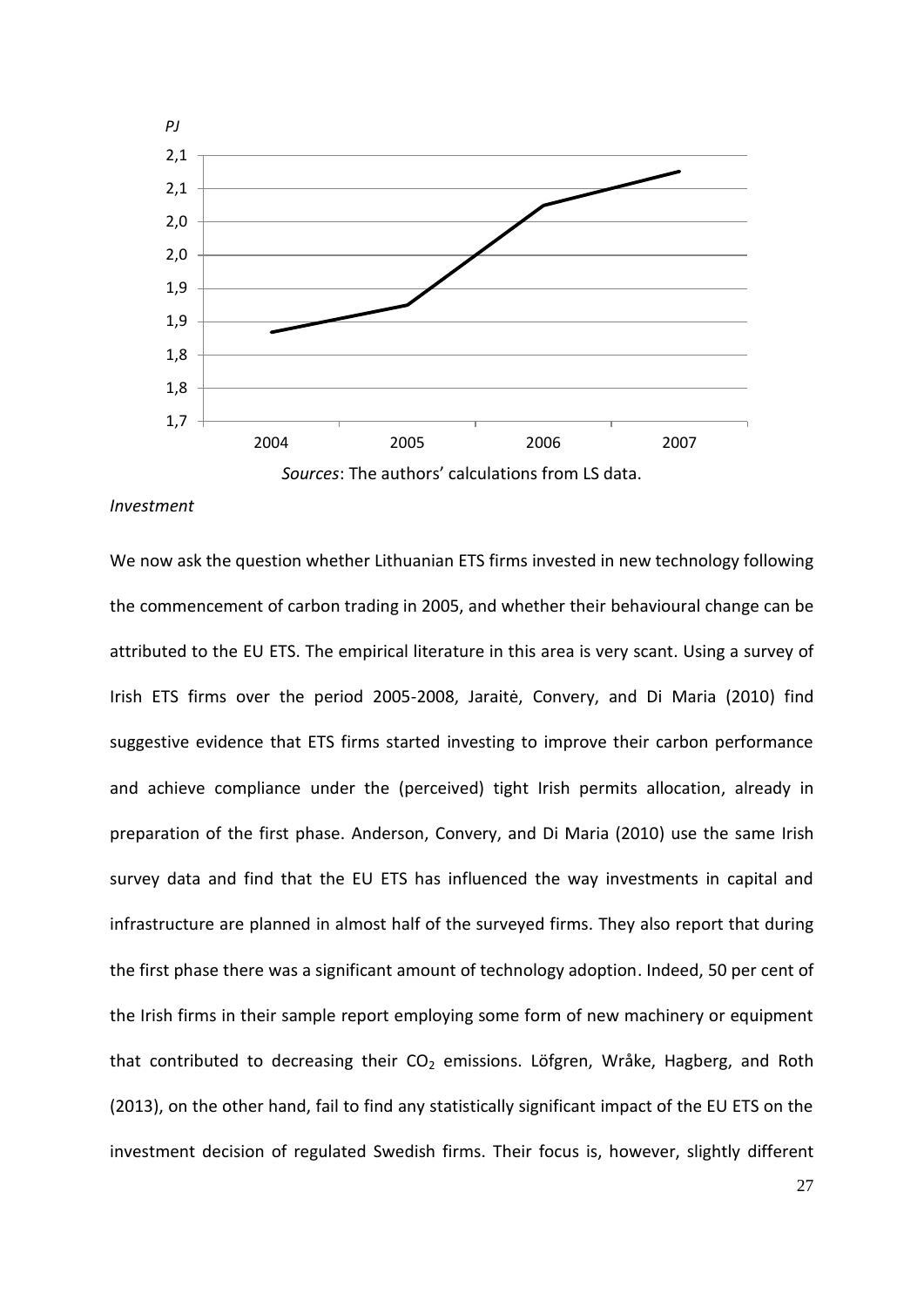

## *Investment*

We now ask the question whether Lithuanian ETS firms invested in new technology following the commencement of carbon trading in 2005, and whether their behavioural change can be attributed to the EU ETS. The empirical literature in this area is very scant. Using a survey of Irish ETS firms over the period 2005-2008, [Jaraitė, Convery, and Di Maria \(2010](#page-37-6)) find suggestive evidence that ETS firms started investing to improve their carbon performance and achieve compliance under the (perceived) tight Irish permits allocation, already in preparation of the first phase. [Anderson, Convery, and Di Maria \(2010\)](#page-36-10) use the same Irish survey data and find that the EU ETS has influenced the way investments in capital and infrastructure are planned in almost half of the surveyed firms. They also report that during the first phase there was a significant amount of technology adoption. Indeed, 50 per cent of the Irish firms in their sample report employing some form of new machinery or equipment that contributed to decreasing their  $CO<sub>2</sub>$  emissions. Löfgren, Wråke, Hagberg, and Roth (2013), on the other hand, fail to find any statistically significant impact of the EU ETS on the investment decision of regulated Swedish firms. Their focus is, however, slightly different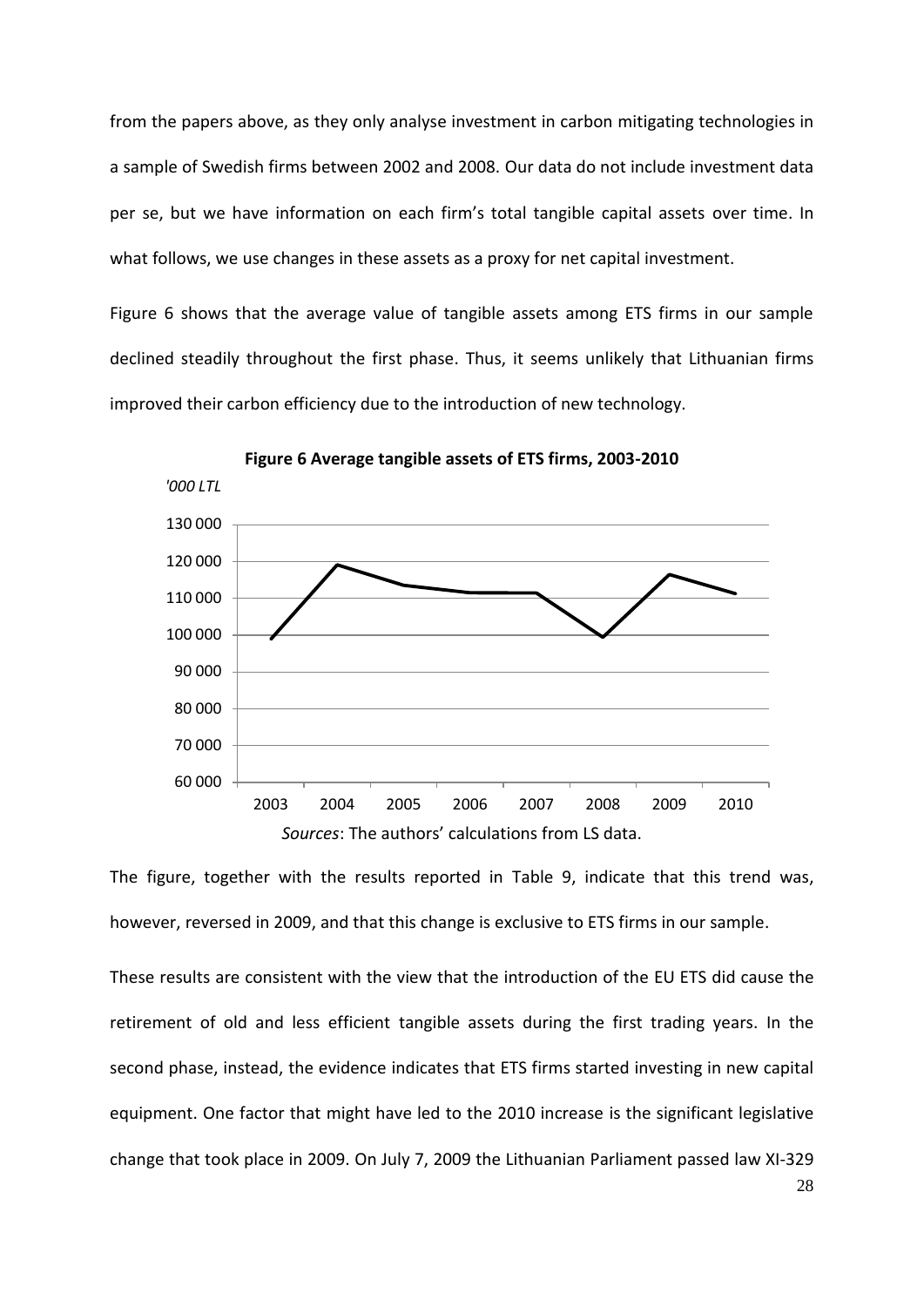from the papers above, as they only analyse investment in carbon mitigating technologies in a sample of Swedish firms between 2002 and 2008. Our data do not include investment data per se, but we have information on each firm's total tangible capital assets over time. In what follows, we use changes in these assets as a proxy for net capital investment.

[Figure 6](#page-28-0) shows that the average value of tangible assets among ETS firms in our sample declined steadily throughout the first phase. Thus, it seems unlikely that Lithuanian firms improved their carbon efficiency due to the introduction of new technology.

<span id="page-28-0"></span>

**Figure 6 Average tangible assets of ETS firms, 2003-2010**

The figure, together with the results reported in [Table 9,](#page-35-0) indicate that this trend was, however, reversed in 2009, and that this change is exclusive to ETS firms in our sample.

These results are consistent with the view that the introduction of the EU ETS did cause the retirement of old and less efficient tangible assets during the first trading years. In the second phase, instead, the evidence indicates that ETS firms started investing in new capital equipment. One factor that might have led to the 2010 increase is the significant legislative change that took place in 2009. On July 7, 2009 the Lithuanian Parliament passed law XI-329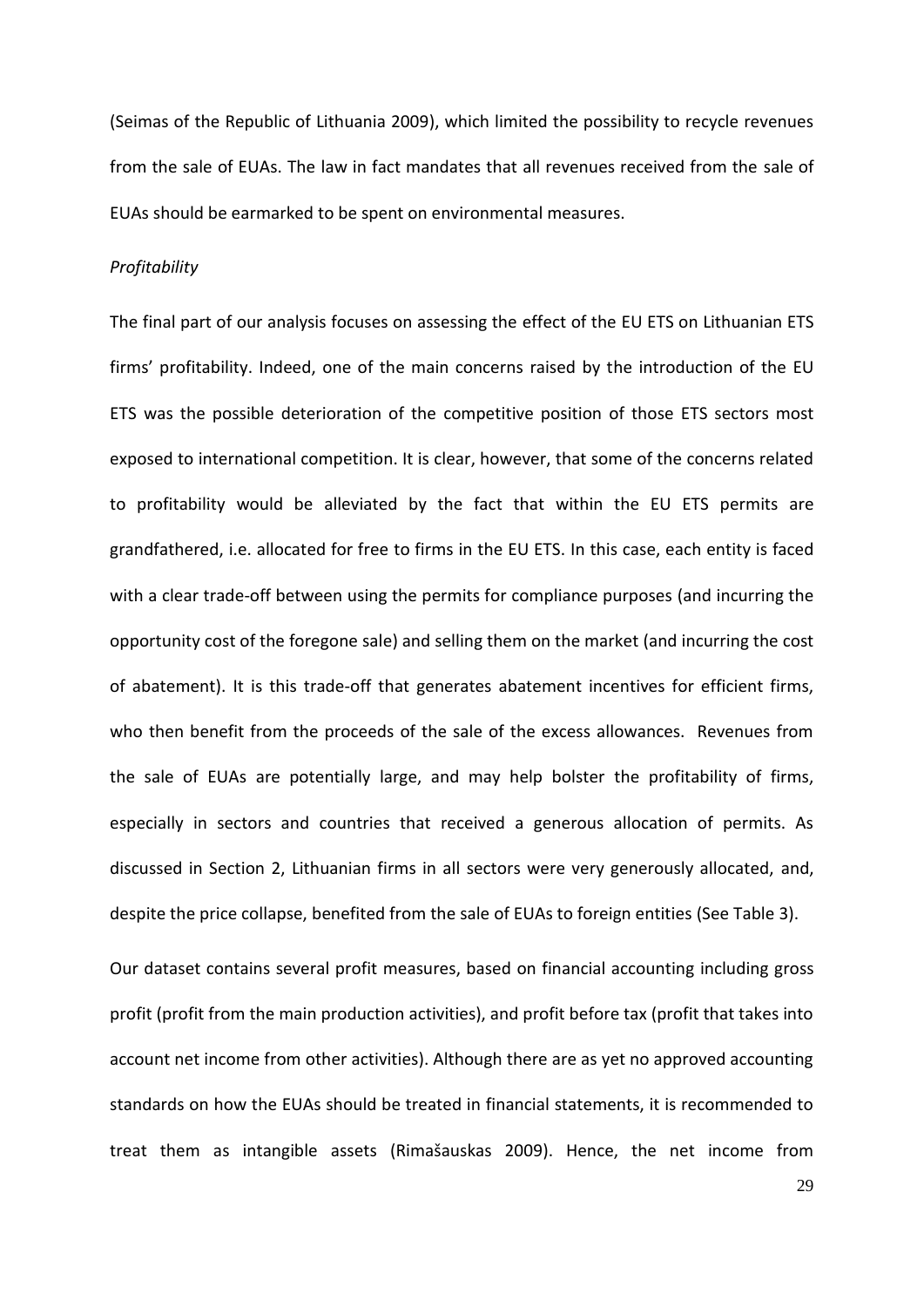[\(Seimas of the Republic of Lithuania 2009\)](#page-37-7), which limited the possibility to recycle revenues from the sale of EUAs. The law in fact mandates that all revenues received from the sale of EUAs should be earmarked to be spent on environmental measures.

## *Profitability*

The final part of our analysis focuses on assessing the effect of the EU ETS on Lithuanian ETS firms' profitability. Indeed, one of the main concerns raised by the introduction of the EU ETS was the possible deterioration of the competitive position of those ETS sectors most exposed to international competition. It is clear, however, that some of the concerns related to profitability would be alleviated by the fact that within the EU ETS permits are grandfathered, i.e. allocated for free to firms in the EU ETS. In this case, each entity is faced with a clear trade-off between using the permits for compliance purposes (and incurring the opportunity cost of the foregone sale) and selling them on the market (and incurring the cost of abatement). It is this trade-off that generates abatement incentives for efficient firms, who then benefit from the proceeds of the sale of the excess allowances. Revenues from the sale of EUAs are potentially large, and may help bolster the profitability of firms, especially in sectors and countries that received a generous allocation of permits. As discussed in Section 2, Lithuanian firms in all sectors were very generously allocated, and, despite the price collapse, benefited from the sale of EUAs to foreign entities (See [Table 3\)](#page-12-0).

Our dataset contains several profit measures, based on financial accounting including gross profit (profit from the main production activities), and profit before tax (profit that takes into account net income from other activities). Although there are as yet no approved accounting standards on how the EUAs should be treated in financial statements, it is recommended to treat them as intangible assets ([Rimašauskas 2009](#page-37-8)). Hence, the net income from

29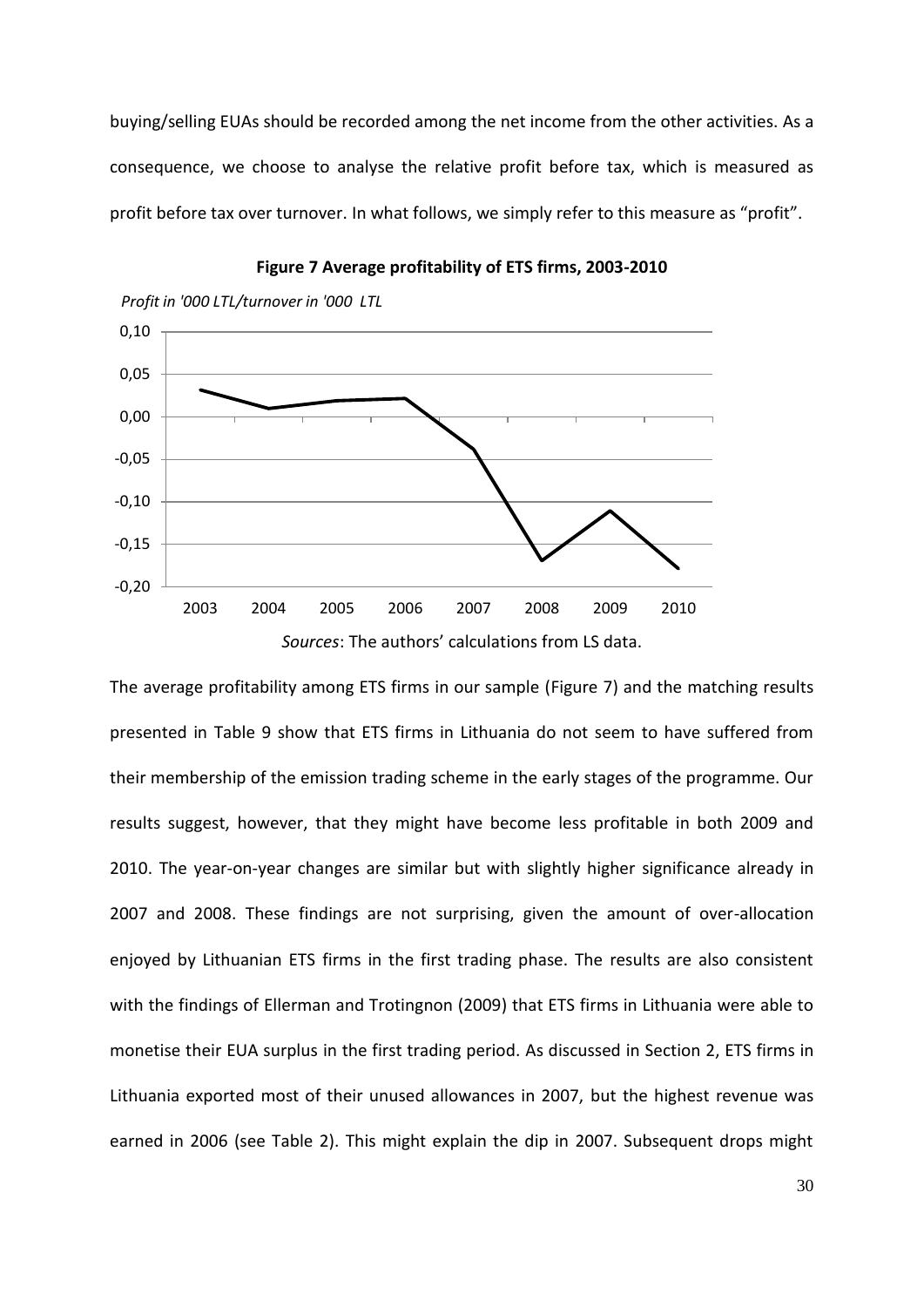buying/selling EUAs should be recorded among the net income from the other activities. As a consequence, we choose to analyse the relative profit before tax, which is measured as profit before tax over turnover. In what follows, we simply refer to this measure as "profit".

<span id="page-30-0"></span>

**Figure 7 Average profitability of ETS firms, 2003-2010**

The average profitability among ETS firms in our sample [\(Figure 7\)](#page-30-0) and the matching results presented in [Table 9](#page-35-0) show that ETS firms in Lithuania do not seem to have suffered from their membership of the emission trading scheme in the early stages of the programme. Our results suggest, however, that they might have become less profitable in both 2009 and 2010. The year-on-year changes are similar but with slightly higher significance already in 2007 and 2008. These findings are not surprising, given the amount of over-allocation enjoyed by Lithuanian ETS firms in the first trading phase. The results are also consistent with the findings of [Ellerman and Trotingnon \(2009\)](#page-36-7) that ETS firms in Lithuania were able to monetise their EUA surplus in the first trading period. As discussed in Section 2, ETS firms in Lithuania exported most of their unused allowances in 2007, but the highest revenue was earned in 2006 (see Table 2). This might explain the dip in 2007. Subsequent drops might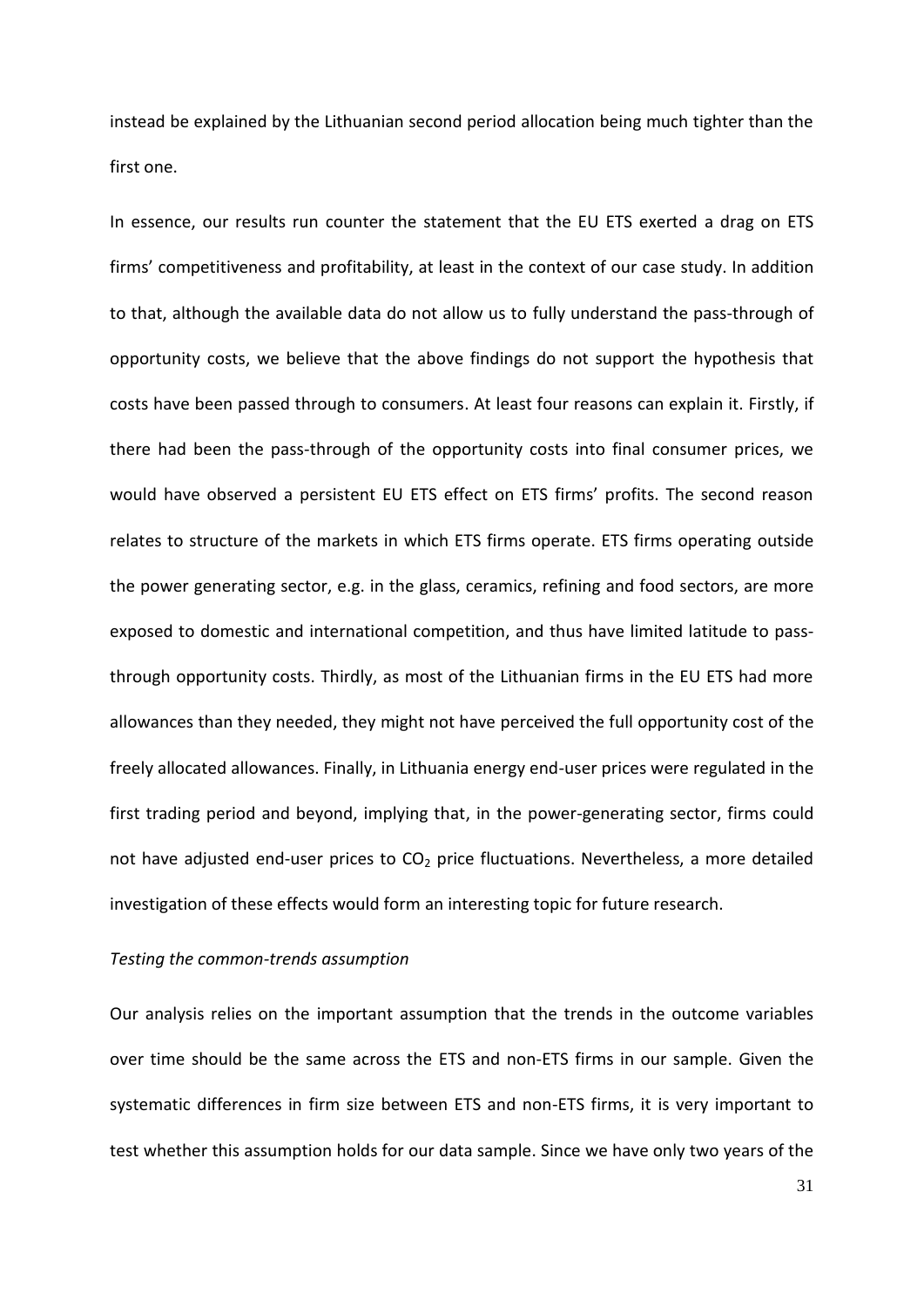instead be explained by the Lithuanian second period allocation being much tighter than the first one.

In essence, our results run counter the statement that the EU ETS exerted a drag on ETS firms' competitiveness and profitability, at least in the context of our case study. In addition to that, although the available data do not allow us to fully understand the pass-through of opportunity costs, we believe that the above findings do not support the hypothesis that costs have been passed through to consumers. At least four reasons can explain it. Firstly, if there had been the pass-through of the opportunity costs into final consumer prices, we would have observed a persistent EU ETS effect on ETS firms' profits. The second reason relates to structure of the markets in which ETS firms operate. ETS firms operating outside the power generating sector, e.g. in the glass, ceramics, refining and food sectors, are more exposed to domestic and international competition, and thus have limited latitude to passthrough opportunity costs. Thirdly, as most of the Lithuanian firms in the EU ETS had more allowances than they needed, they might not have perceived the full opportunity cost of the freely allocated allowances. Finally, in Lithuania energy end-user prices were regulated in the first trading period and beyond, implying that, in the power-generating sector, firms could not have adjusted end-user prices to  $CO<sub>2</sub>$  price fluctuations. Nevertheless, a more detailed investigation of these effects would form an interesting topic for future research.

# *Testing the common-trends assumption*

Our analysis relies on the important assumption that the trends in the outcome variables over time should be the same across the ETS and non-ETS firms in our sample. Given the systematic differences in firm size between ETS and non-ETS firms, it is very important to test whether this assumption holds for our data sample. Since we have only two years of the

31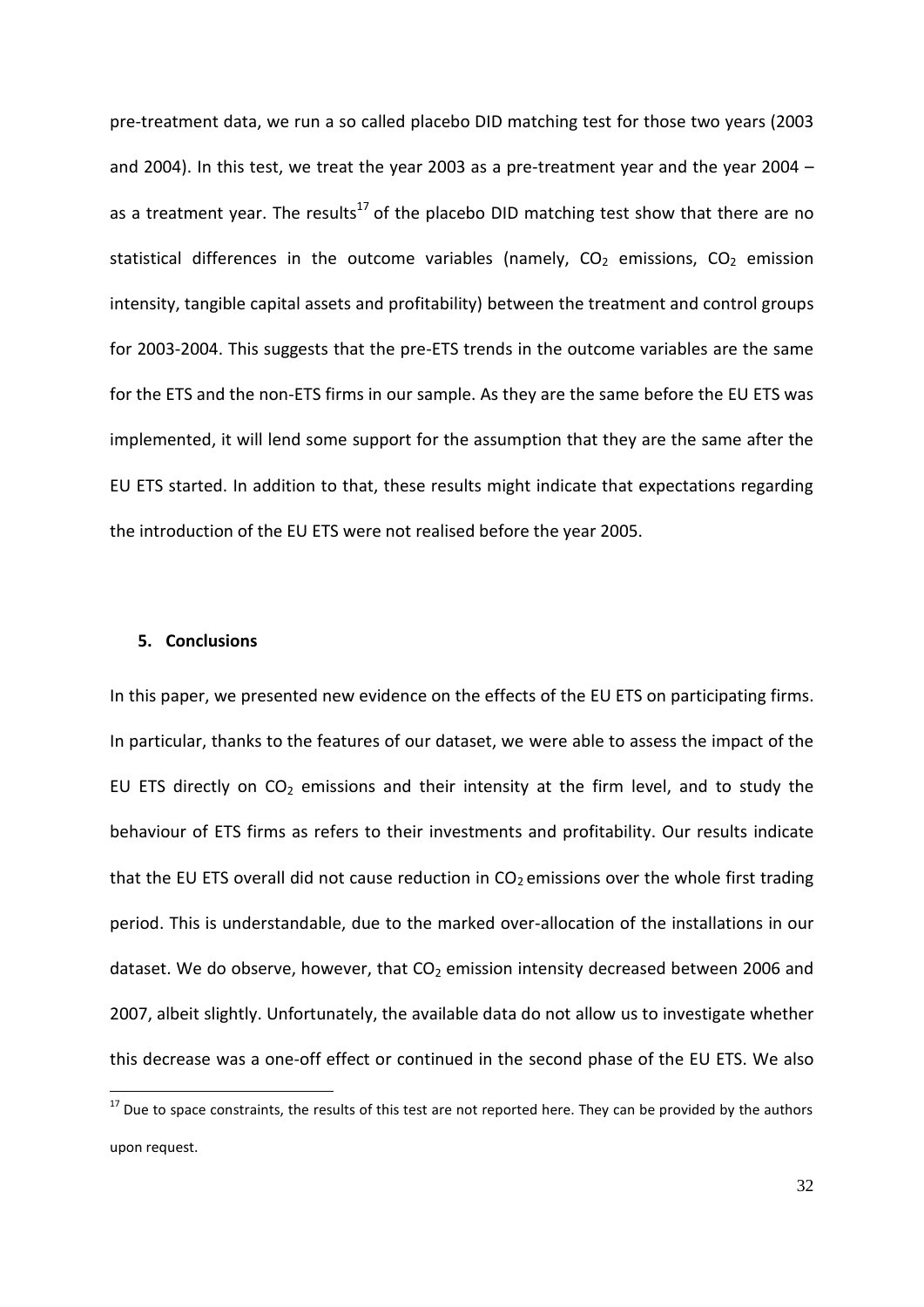pre-treatment data, we run a so called placebo DID matching test for those two years (2003 and 2004). In this test, we treat the year 2003 as a pre-treatment year and the year 2004 – as a treatment year. The results<sup>17</sup> of the placebo DID matching test show that there are no statistical differences in the outcome variables (namely,  $CO<sub>2</sub>$  emissions,  $CO<sub>2</sub>$  emission intensity, tangible capital assets and profitability) between the treatment and control groups for 2003-2004. This suggests that the pre-ETS trends in the outcome variables are the same for the ETS and the non-ETS firms in our sample. As they are the same before the EU ETS was implemented, it will lend some support for the assumption that they are the same after the EU ETS started. In addition to that, these results might indicate that expectations regarding the introduction of the EU ETS were not realised before the year 2005.

## **5. Conclusions**

**.** 

In this paper, we presented new evidence on the effects of the EU ETS on participating firms. In particular, thanks to the features of our dataset, we were able to assess the impact of the EU ETS directly on  $CO<sub>2</sub>$  emissions and their intensity at the firm level, and to study the behaviour of ETS firms as refers to their investments and profitability. Our results indicate that the EU ETS overall did not cause reduction in  $CO<sub>2</sub>$  emissions over the whole first trading period. This is understandable, due to the marked over-allocation of the installations in our dataset. We do observe, however, that  $CO<sub>2</sub>$  emission intensity decreased between 2006 and 2007, albeit slightly. Unfortunately, the available data do not allow us to investigate whether this decrease was a one-off effect or continued in the second phase of the EU ETS. We also

<sup>&</sup>lt;sup>17</sup> Due to space constraints, the results of this test are not reported here. They can be provided by the authors upon request.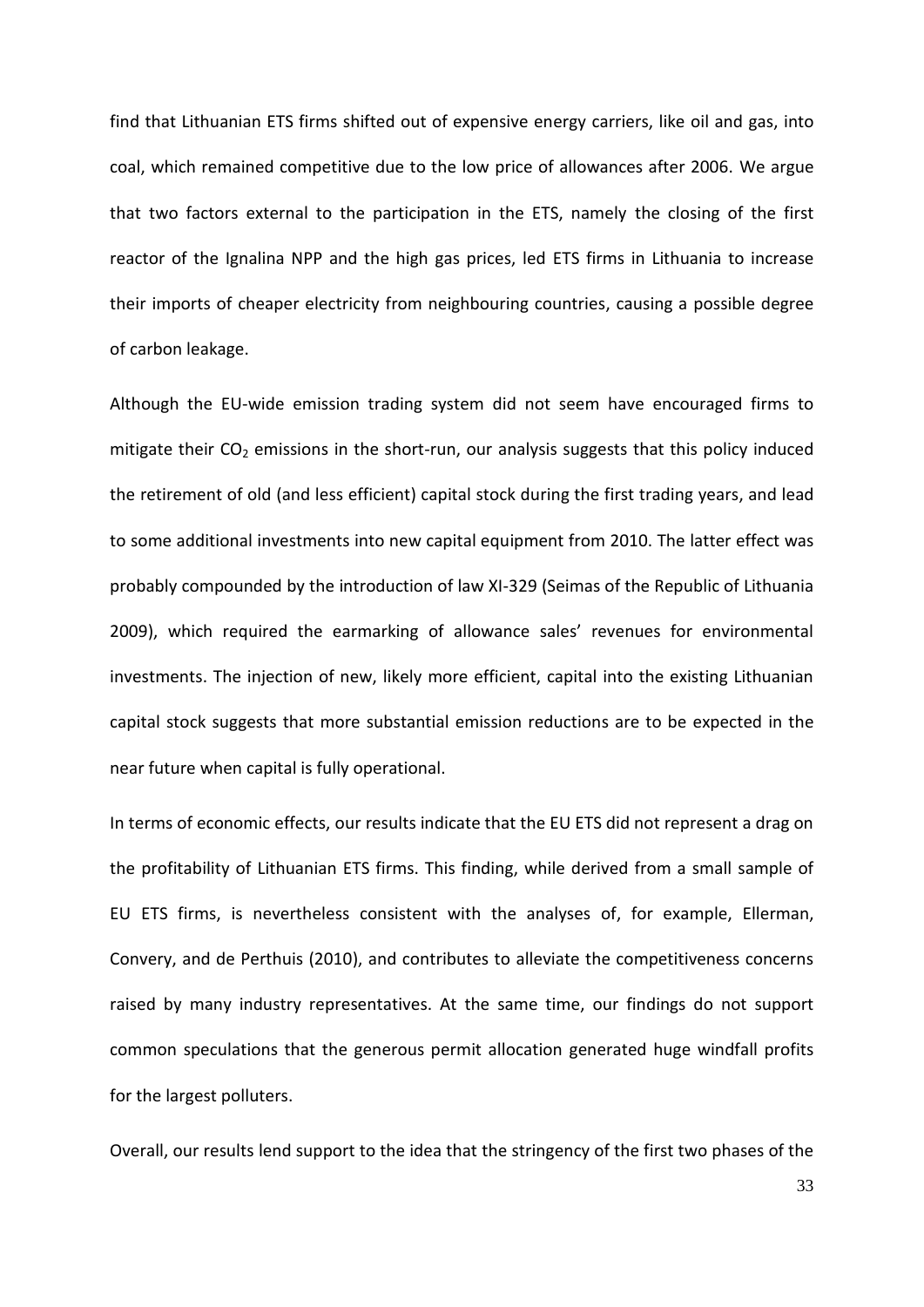find that Lithuanian ETS firms shifted out of expensive energy carriers, like oil and gas, into coal, which remained competitive due to the low price of allowances after 2006. We argue that two factors external to the participation in the ETS, namely the closing of the first reactor of the Ignalina NPP and the high gas prices, led ETS firms in Lithuania to increase their imports of cheaper electricity from neighbouring countries, causing a possible degree of carbon leakage.

Although the EU-wide emission trading system did not seem have encouraged firms to mitigate their  $CO<sub>2</sub>$  emissions in the short-run, our analysis suggests that this policy induced the retirement of old (and less efficient) capital stock during the first trading years, and lead to some additional investments into new capital equipment from 2010. The latter effect was probably compounded by the introduction of law XI-329 [\(Seimas of the Republic of Lithuania](#page-37-7)  [2009\)](#page-37-7), which required the earmarking of allowance sales' revenues for environmental investments. The injection of new, likely more efficient, capital into the existing Lithuanian capital stock suggests that more substantial emission reductions are to be expected in the near future when capital is fully operational.

In terms of economic effects, our results indicate that the EU ETS did not represent a drag on the profitability of Lithuanian ETS firms. This finding, while derived from a small sample of EU ETS firms, is nevertheless consistent with the analyses of, for example, [Ellerman,](#page-36-0)  [Convery, and de Perthuis \(2010\)](#page-36-0), and contributes to alleviate the competitiveness concerns raised by many industry representatives. At the same time, our findings do not support common speculations that the generous permit allocation generated huge windfall profits for the largest polluters.

Overall, our results lend support to the idea that the stringency of the first two phases of the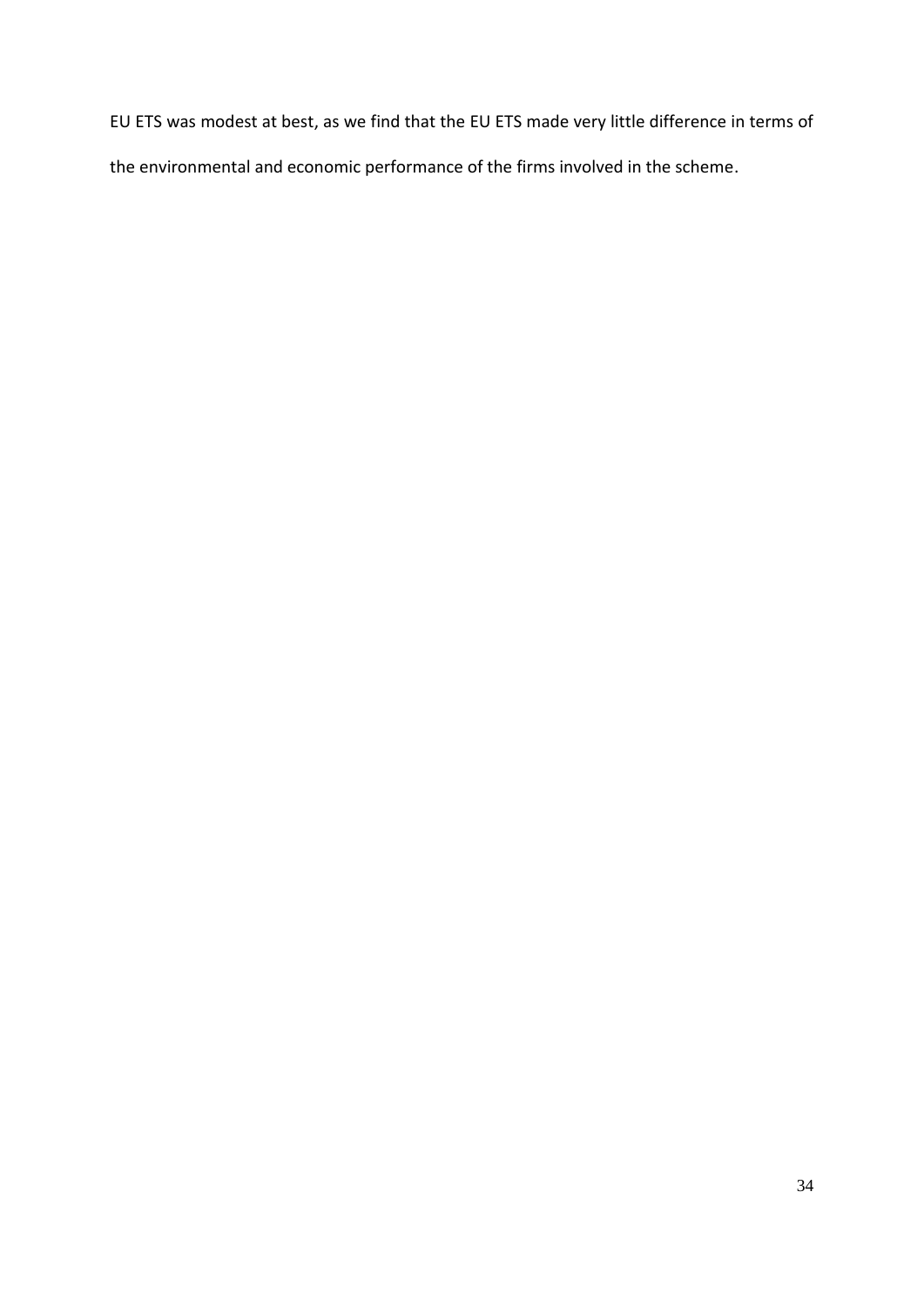EU ETS was modest at best, as we find that the EU ETS made very little difference in terms of the environmental and economic performance of the firms involved in the scheme.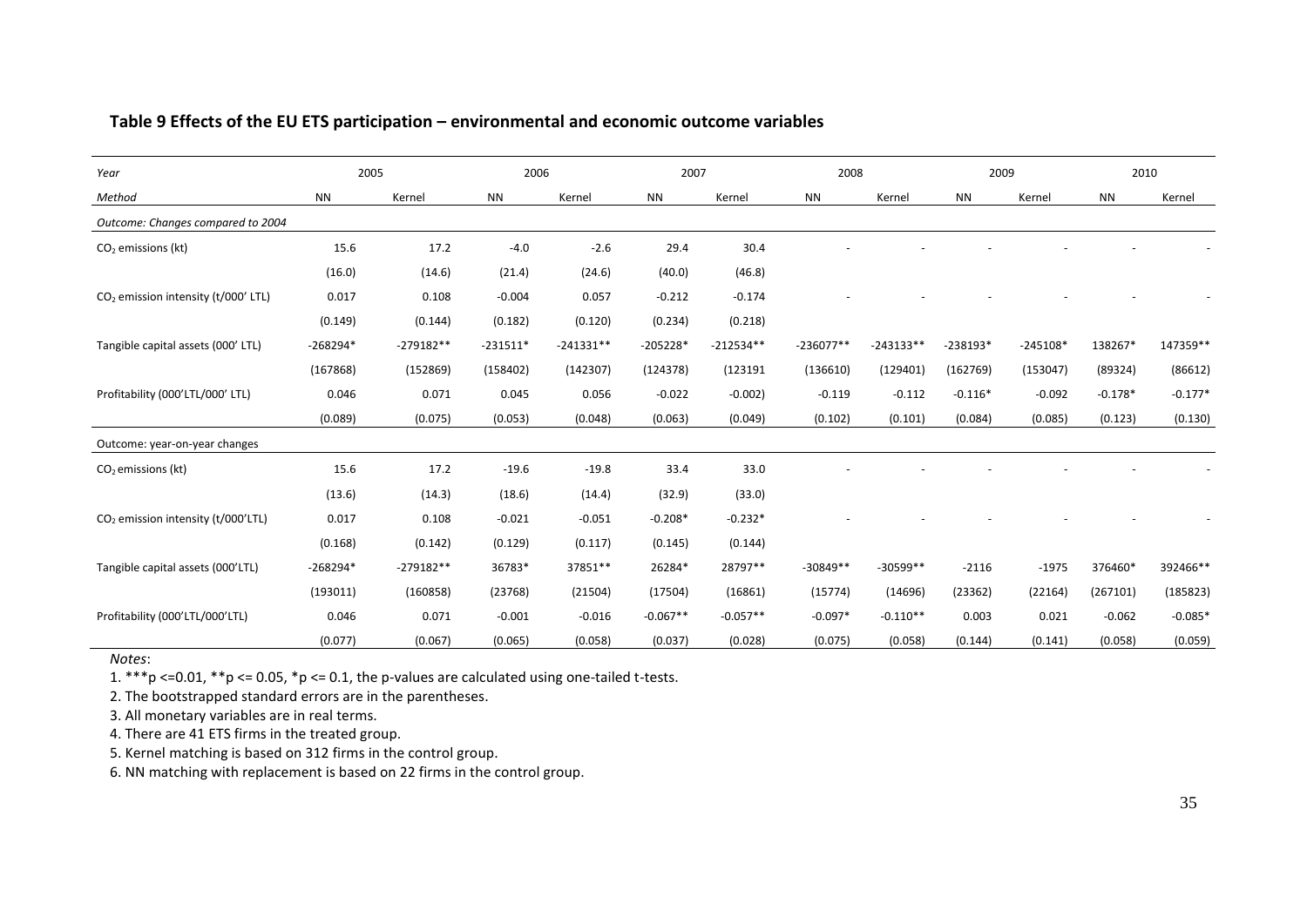# **Table 9 Effects of the EU ETS participation – environmental and economic outcome variables**

| Year                                            |            | 2005        | 2006       |             | 2007       |             | 2008        |             | 2009       |            | 2010      |           |
|-------------------------------------------------|------------|-------------|------------|-------------|------------|-------------|-------------|-------------|------------|------------|-----------|-----------|
| Method                                          | <b>NN</b>  | Kernel      | <b>NN</b>  | Kernel      | <b>NN</b>  | Kernel      | <b>NN</b>   | Kernel      | <b>NN</b>  | Kernel     | <b>NN</b> | Kernel    |
| Outcome: Changes compared to 2004               |            |             |            |             |            |             |             |             |            |            |           |           |
| $CO2$ emissions (kt)                            | 15.6       | 17.2        | $-4.0$     | $-2.6$      | 29.4       | 30.4        |             |             |            |            |           |           |
|                                                 | (16.0)     | (14.6)      | (21.4)     | (24.6)      | (40.0)     | (46.8)      |             |             |            |            |           |           |
| CO <sub>2</sub> emission intensity (t/000' LTL) | 0.017      | 0.108       | $-0.004$   | 0.057       | $-0.212$   | $-0.174$    |             |             |            |            |           |           |
|                                                 | (0.149)    | (0.144)     | (0.182)    | (0.120)     | (0.234)    | (0.218)     |             |             |            |            |           |           |
| Tangible capital assets (000' LTL)              | $-268294*$ | $-279182**$ | $-231511*$ | $-241331**$ | $-205228*$ | $-212534**$ | $-236077**$ | $-243133**$ | $-238193*$ | $-245108*$ | 138267*   | 147359**  |
|                                                 | (167868)   | (152869)    | (158402)   | (142307)    | (124378)   | (123191     | (136610)    | (129401)    | (162769)   | (153047)   | (89324)   | (86612)   |
| Profitability (000'LTL/000' LTL)                | 0.046      | 0.071       | 0.045      | 0.056       | $-0.022$   | $-0.002$ )  | $-0.119$    | $-0.112$    | $-0.116*$  | $-0.092$   | $-0.178*$ | $-0.177*$ |
|                                                 | (0.089)    | (0.075)     | (0.053)    | (0.048)     | (0.063)    | (0.049)     | (0.102)     | (0.101)     | (0.084)    | (0.085)    | (0.123)   | (0.130)   |
| Outcome: year-on-year changes                   |            |             |            |             |            |             |             |             |            |            |           |           |
| $CO2$ emissions (kt)                            | 15.6       | 17.2        | $-19.6$    | $-19.8$     | 33.4       | 33.0        |             |             |            |            |           |           |
|                                                 | (13.6)     | (14.3)      | (18.6)     | (14.4)      | (32.9)     | (33.0)      |             |             |            |            |           |           |
| CO <sub>2</sub> emission intensity (t/000'LTL)  | 0.017      | 0.108       | $-0.021$   | $-0.051$    | $-0.208*$  | $-0.232*$   |             |             |            |            |           |           |
|                                                 | (0.168)    | (0.142)     | (0.129)    | (0.117)     | (0.145)    | (0.144)     |             |             |            |            |           |           |
| Tangible capital assets (000'LTL)               | $-268294*$ | $-279182**$ | 36783*     | 37851**     | 26284*     | 28797**     | $-30849**$  | $-30599**$  | $-2116$    | $-1975$    | 376460*   | 392466**  |
|                                                 | (193011)   | (160858)    | (23768)    | (21504)     | (17504)    | (16861)     | (15774)     | (14696)     | (23362)    | (22164)    | (267101)  | (185823)  |
| Profitability (000'LTL/000'LTL)                 | 0.046      | 0.071       | $-0.001$   | $-0.016$    | $-0.067**$ | $-0.057**$  | $-0.097*$   | $-0.110**$  | 0.003      | 0.021      | $-0.062$  | $-0.085*$ |
|                                                 | (0.077)    | (0.067)     | (0.065)    | (0.058)     | (0.037)    | (0.028)     | (0.075)     | (0.058)     | (0.144)    | (0.141)    | (0.058)   | (0.059)   |

<span id="page-35-0"></span>*Notes*:

1.  $***p$  <=0.01,  $**p$  <= 0.05,  $*p$  <= 0.1, the p-values are calculated using one-tailed t-tests.

2. The bootstrapped standard errors are in the parentheses.

3. All monetary variables are in real terms.

4. There are 41 ETS firms in the treated group.

5. Kernel matching is based on 312 firms in the control group.

6. NN matching with replacement is based on 22 firms in the control group.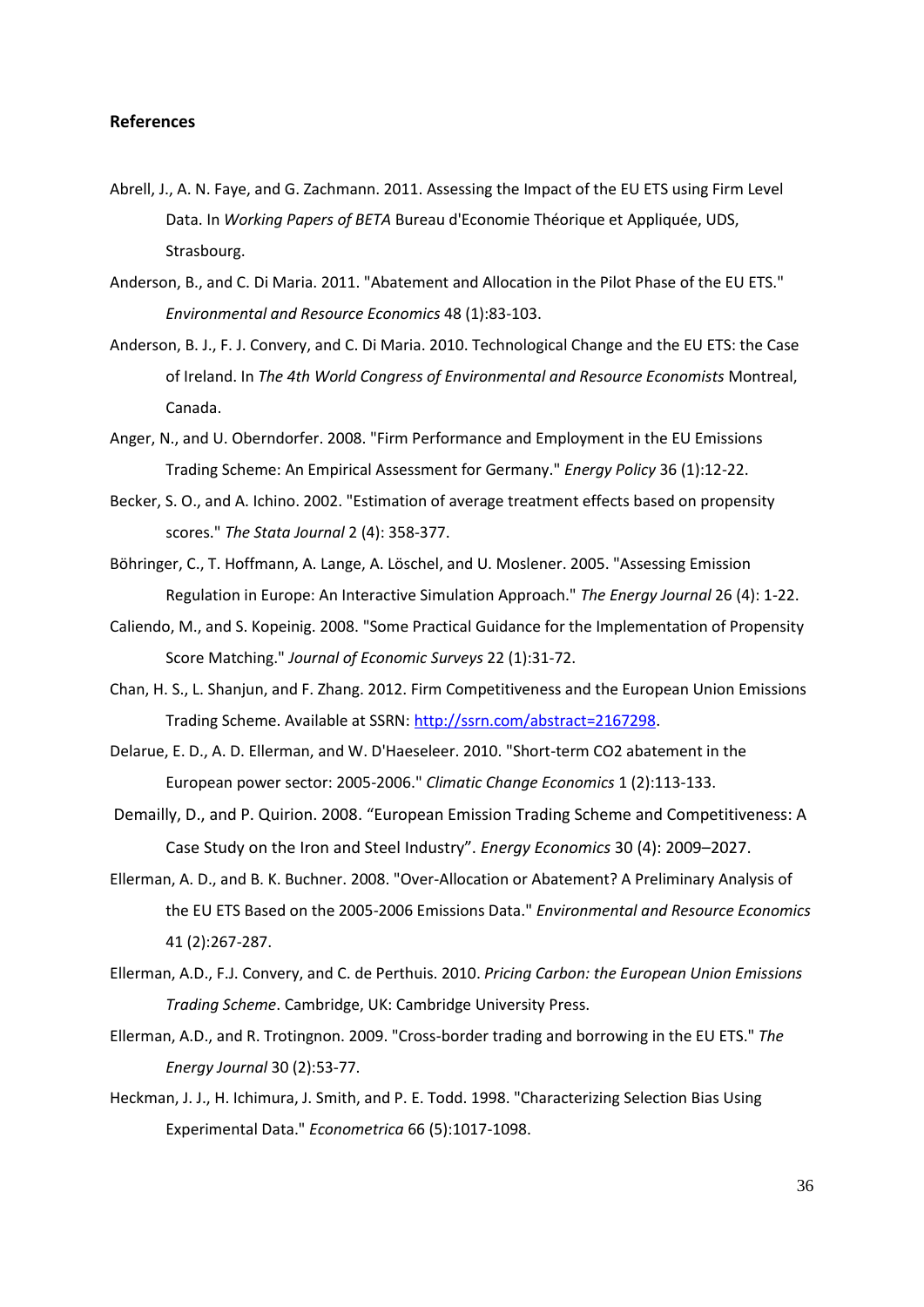#### **References**

- <span id="page-36-4"></span>Abrell, J., A. N. Faye, and G. Zachmann. 2011. Assessing the Impact of the EU ETS using Firm Level Data. In *Working Papers of BETA* Bureau d'Economie Théorique et Appliquée, UDS, Strasbourg.
- <span id="page-36-2"></span>Anderson, B., and C. Di Maria. 2011. "Abatement and Allocation in the Pilot Phase of the EU ETS." *Environmental and Resource Economics* 48 (1):83-103.
- <span id="page-36-10"></span>Anderson, B. J., F. J. Convery, and C. Di Maria. 2010. Technological Change and the EU ETS: the Case of Ireland. In *The 4th World Congress of Environmental and Resource Economists* Montreal, Canada.
- <span id="page-36-5"></span>Anger, N., and U. Oberndorfer. 2008. "Firm Performance and Employment in the EU Emissions Trading Scheme: An Empirical Assessment for Germany." *Energy Policy* 36 (1):12-22.
- Becker, S. O., and A. Ichino. 2002. "Estimation of average treatment effects based on propensity scores." *The Stata Journal* 2 (4): 358-377.
- Böhringer, C., T. Hoffmann, A. Lange, A. Löschel, and U. Moslener. 2005. "Assessing Emission Regulation in Europe: An Interactive Simulation Approach." *The Energy Journal* 26 (4): 1-22.
- <span id="page-36-9"></span>Caliendo, M., and S. Kopeinig. 2008. "Some Practical Guidance for the Implementation of Propensity Score Matching." *Journal of Economic Surveys* 22 (1):31-72.
- <span id="page-36-6"></span>Chan, H. S., L. Shanjun, and F. Zhang. 2012. Firm Competitiveness and the European Union Emissions Trading Scheme. Available at SSRN: [http://ssrn.com/abstract=2167298.](http://ssrn.com/abstract=2167298)
- <span id="page-36-3"></span>Delarue, E. D., A. D. Ellerman, and W. D'Haeseleer. 2010. "Short-term CO2 abatement in the European power sector: 2005-2006." *Climatic Change Economics* 1 (2):113-133.
- Demailly, D., and P. Quirion. 2008. "European Emission Trading Scheme and Competitiveness: A Case Study on the Iron and Steel Industry". *Energy Economics* 30 (4): 2009–2027.
- <span id="page-36-1"></span>Ellerman, A. D., and B. K. Buchner. 2008. "Over-Allocation or Abatement? A Preliminary Analysis of the EU ETS Based on the 2005-2006 Emissions Data." *Environmental and Resource Economics* 41 (2):267-287.
- <span id="page-36-0"></span>Ellerman, A.D., F.J. Convery, and C. de Perthuis. 2010. *Pricing Carbon: the European Union Emissions Trading Scheme*. Cambridge, UK: Cambridge University Press.
- <span id="page-36-7"></span>Ellerman, A.D., and R. Trotingnon. 2009. "Cross-border trading and borrowing in the EU ETS." *The Energy Journal* 30 (2):53-77.
- <span id="page-36-8"></span>Heckman, J. J., H. Ichimura, J. Smith, and P. E. Todd. 1998. "Characterizing Selection Bias Using Experimental Data." *Econometrica* 66 (5):1017-1098.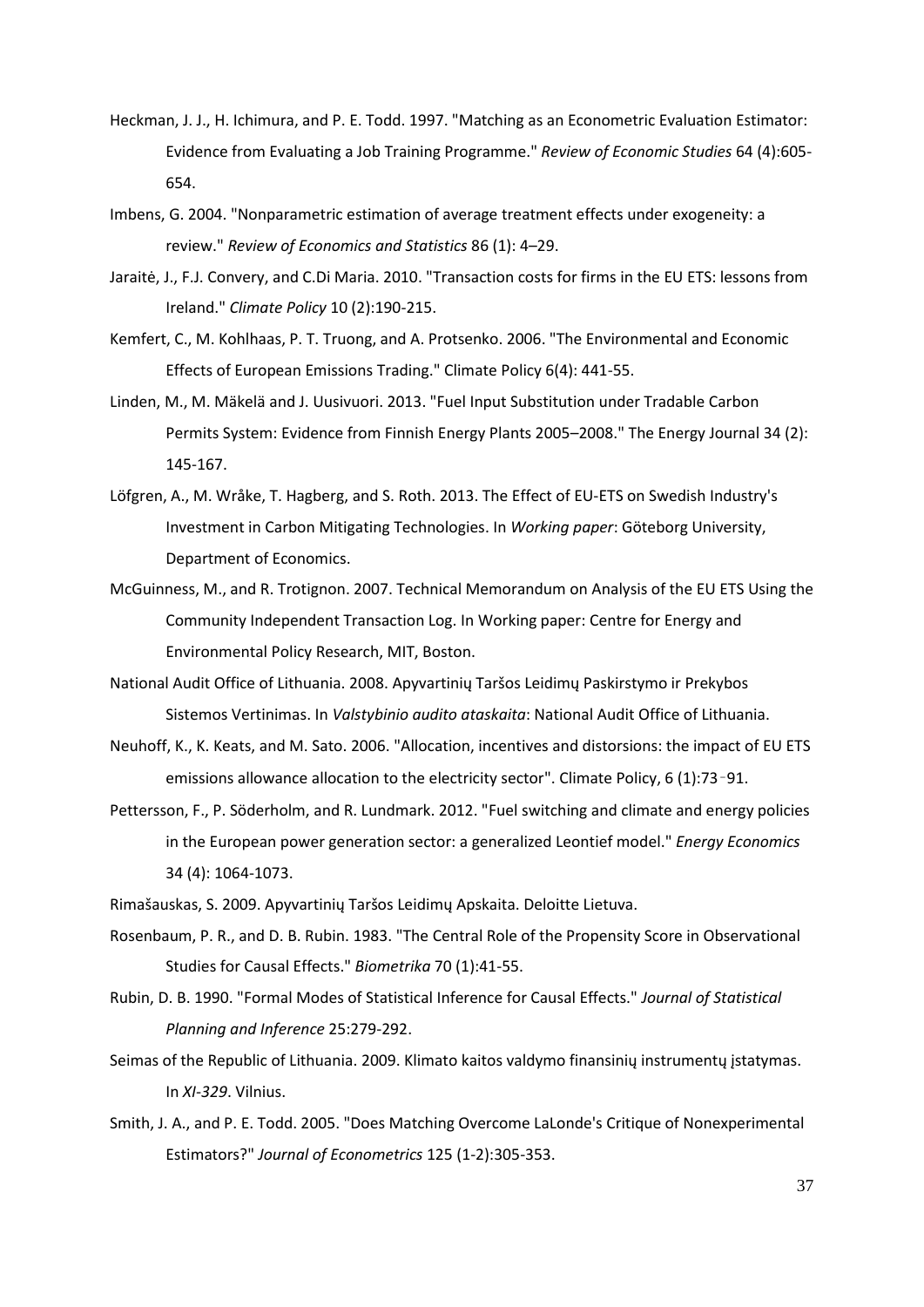- <span id="page-37-2"></span>Heckman, J. J., H. Ichimura, and P. E. Todd. 1997. "Matching as an Econometric Evaluation Estimator: Evidence from Evaluating a Job Training Programme." *Review of Economic Studies* 64 (4):605- 654.
- Imbens, G. 2004. "Nonparametric estimation of average treatment effects under exogeneity: a review." *Review of Economics and Statistics* 86 (1): 4–29.
- <span id="page-37-6"></span>Jaraitė, J., F.J. Convery, and C.Di Maria. 2010. "Transaction costs for firms in the EU ETS: lessons from Ireland." *Climate Policy* 10 (2):190-215.
- Kemfert, C., M. Kohlhaas, P. T. Truong, and A. Protsenko. 2006. "The Environmental and Economic Effects of European Emissions Trading." Climate Policy 6(4): 441-55.
- Linden, M., M. Mäkelä and J. Uusivuori. 2013. "Fuel Input Substitution under Tradable Carbon Permits System: Evidence from Finnish Energy Plants 2005–2008." The Energy Journal 34 (2): 145-167.
- Löfgren, A., M. Wråke, T. Hagberg, and S. Roth. 2013. The Effect of EU-ETS on Swedish Industry's Investment in Carbon Mitigating Technologies. In *Working paper*: Göteborg University, Department of Economics.
- <span id="page-37-0"></span>McGuinness, M., and R. Trotignon. 2007. Technical Memorandum on Analysis of the EU ETS Using the Community Independent Transaction Log. In Working paper: Centre for Energy and Environmental Policy Research, MIT, Boston.
- <span id="page-37-1"></span>National Audit Office of Lithuania. 2008. Apyvartinių Taršos Leidimų Paskirstymo ir Prekybos Sistemos Vertinimas. In *Valstybinio audito ataskaita*: National Audit Office of Lithuania.
- Neuhoff, K., K. Keats, and M. Sato. 2006. "Allocation, incentives and distorsions: the impact of EU ETS emissions allowance allocation to the electricity sector". Climate Policy, 6 (1):73–91.
- Pettersson, F., P. Söderholm, and R. Lundmark. 2012. "Fuel switching and climate and energy policies in the European power generation sector: a generalized Leontief model." *Energy Economics* 34 (4): 1064-1073.
- <span id="page-37-8"></span>Rimašauskas, S. 2009. Apyvartinių Taršos Leidimų Apskaita. Deloitte Lietuva.
- <span id="page-37-3"></span>Rosenbaum, P. R., and D. B. Rubin. 1983. "The Central Role of the Propensity Score in Observational Studies for Causal Effects." *Biometrika* 70 (1):41-55.
- <span id="page-37-4"></span>Rubin, D. B. 1990. "Formal Modes of Statistical Inference for Causal Effects." *Journal of Statistical Planning and Inference* 25:279-292.
- <span id="page-37-7"></span>Seimas of the Republic of Lithuania. 2009. Klimato kaitos valdymo finansinių instrumentų įstatymas. In *XI-329*. Vilnius.
- <span id="page-37-5"></span>Smith, J. A., and P. E. Todd. 2005. "Does Matching Overcome LaLonde's Critique of Nonexperimental Estimators?" *Journal of Econometrics* 125 (1-2):305-353.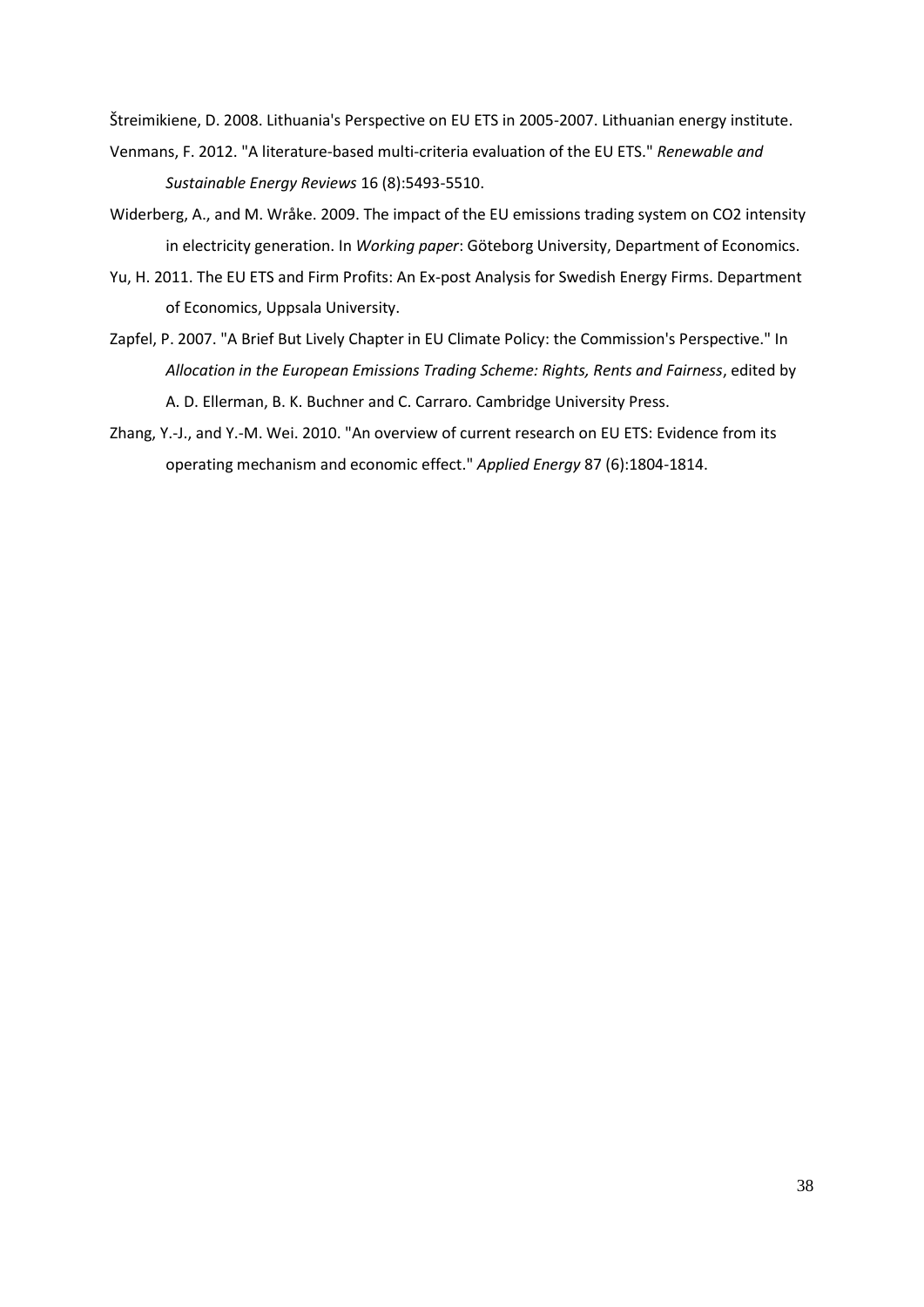<span id="page-38-5"></span>Štreimikiene, D. 2008. Lithuania's Perspective on EU ETS in 2005-2007. Lithuanian energy institute.

- <span id="page-38-3"></span>Venmans, F. 2012. "A literature-based multi-criteria evaluation of the EU ETS." *Renewable and Sustainable Energy Reviews* 16 (8):5493-5510.
- <span id="page-38-0"></span>Widerberg, A., and M. Wråke. 2009. The impact of the EU emissions trading system on CO2 intensity in electricity generation. In *Working paper*: Göteborg University, Department of Economics.
- <span id="page-38-1"></span>Yu, H. 2011. The EU ETS and Firm Profits: An Ex-post Analysis for Swedish Energy Firms. Department of Economics, Uppsala University.
- <span id="page-38-4"></span>Zapfel, P. 2007. "A Brief But Lively Chapter in EU Climate Policy: the Commission's Perspective." In *Allocation in the European Emissions Trading Scheme: Rights, Rents and Fairness*, edited by A. D. Ellerman, B. K. Buchner and C. Carraro. Cambridge University Press.
- <span id="page-38-2"></span>Zhang, Y.-J., and Y.-M. Wei. 2010. "An overview of current research on EU ETS: Evidence from its operating mechanism and economic effect." *Applied Energy* 87 (6):1804-1814.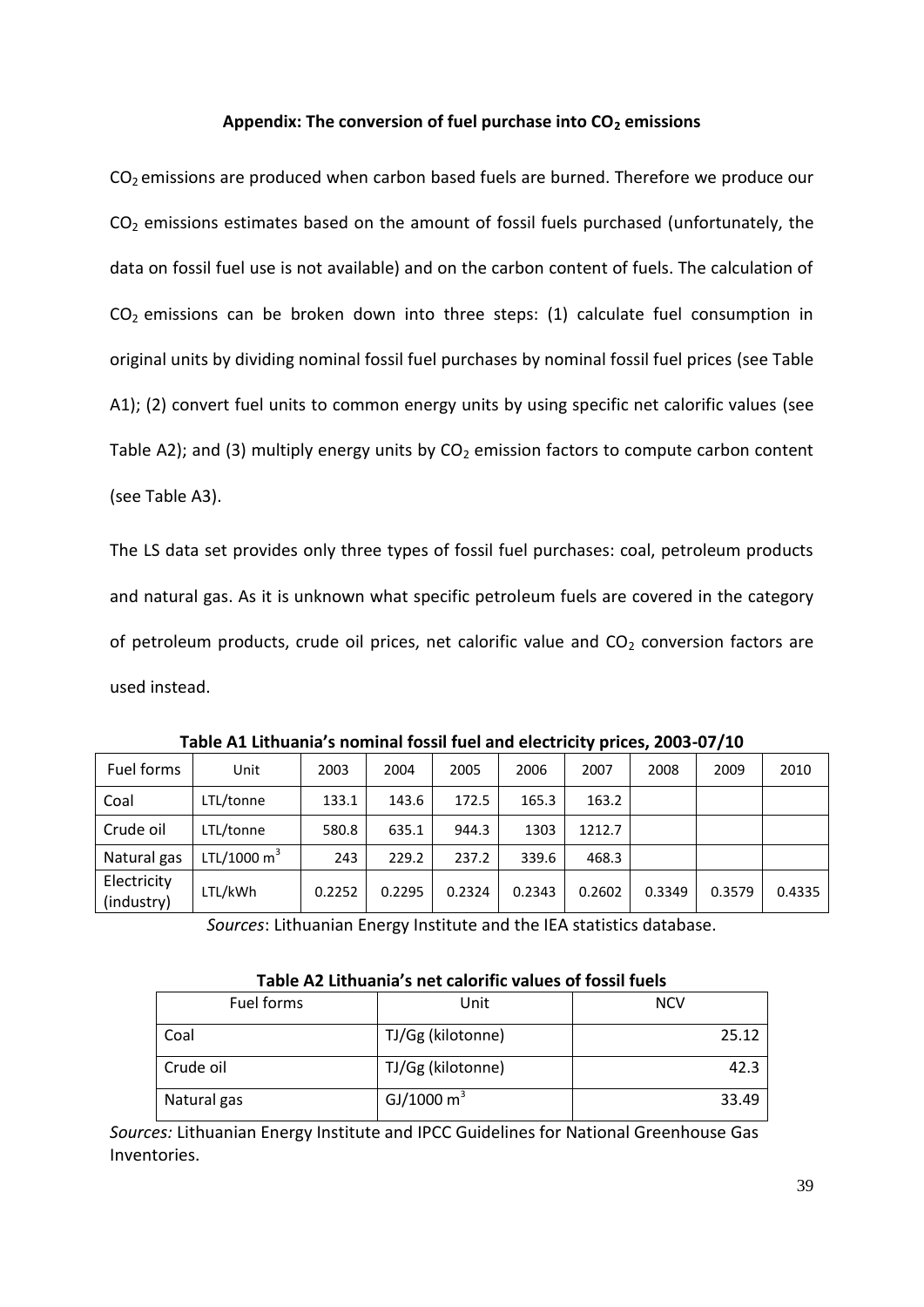# **Appendix: The conversion of fuel purchase into CO<sup>2</sup> emissions**

 $CO<sub>2</sub>$  emissions are produced when carbon based fuels are burned. Therefore we produce our  $CO<sub>2</sub>$  emissions estimates based on the amount of fossil fuels purchased (unfortunately, the data on fossil fuel use is not available) and on the carbon content of fuels. The calculation of  $CO<sub>2</sub>$  emissions can be broken down into three steps: (1) calculate fuel consumption in original units by dividing nominal fossil fuel purchases by nominal fossil fuel prices (see Table A1); (2) convert fuel units to common energy units by using specific net calorific values (see Table A2); and (3) multiply energy units by  $CO<sub>2</sub>$  emission factors to compute carbon content (see Table A3).

The LS data set provides only three types of fossil fuel purchases: coal, petroleum products and natural gas. As it is unknown what specific petroleum fuels are covered in the category of petroleum products, crude oil prices, net calorific value and  $CO<sub>2</sub>$  conversion factors are used instead.

| Fuel forms                | Unit           | 2003   | 2004   | 2005   | 2006   | 2007   | 2008   | 2009   | 2010   |
|---------------------------|----------------|--------|--------|--------|--------|--------|--------|--------|--------|
| Coal                      | LTL/tonne      | 133.1  | 143.6  | 172.5  | 165.3  | 163.2  |        |        |        |
| Crude oil                 | LTL/tonne      | 580.8  | 635.1  | 944.3  | 1303   | 1212.7 |        |        |        |
| Natural gas               | LTL/1000 $m^3$ | 243    | 229.2  | 237.2  | 339.6  | 468.3  |        |        |        |
| Electricity<br>(industry) | LTL/kWh        | 0.2252 | 0.2295 | 0.2324 | 0.2343 | 0.2602 | 0.3349 | 0.3579 | 0.4335 |

**Table A1 Lithuania's nominal fossil fuel and electricity prices, 2003-07/10**

*Sources*: Lithuanian Energy Institute and the IEA statistics database.

| Fuel forms  | Unit              | <b>NCV</b> |  |  |  |  |
|-------------|-------------------|------------|--|--|--|--|
| Coal        | TJ/Gg (kilotonne) | 25.12      |  |  |  |  |
| Crude oil   | TJ/Gg (kilotonne) | 42.3       |  |  |  |  |
| Natural gas | GJ/1000 $m^3$     | 33.49      |  |  |  |  |

## **Table A2 Lithuania's net calorific values of fossil fuels**

*Sources:* Lithuanian Energy Institute and IPCC Guidelines for National Greenhouse Gas Inventories.